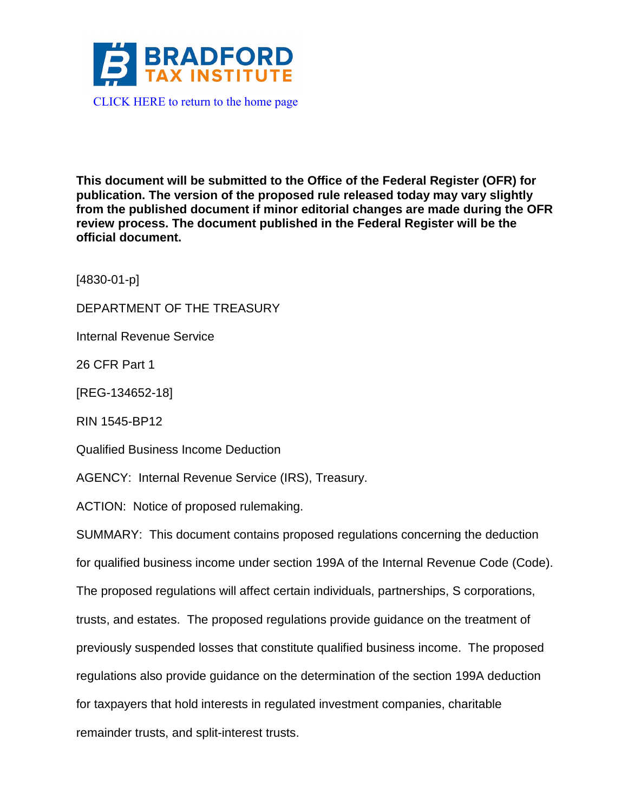

**This document will be submitted to the Office of the Federal Register (OFR) for publication. The version of the proposed rule released today may vary slightly from the published document if minor editorial changes are made during the OFR review process. The document published in the Federal Register will be the official document.**

[4830-01-p]

DEPARTMENT OF THE TREASURY

Internal Revenue Service

26 CFR Part 1

[REG-134652-18]

RIN 1545-BP12

Qualified Business Income Deduction

AGENCY: Internal Revenue Service (IRS), Treasury.

ACTION: Notice of proposed rulemaking.

SUMMARY: This document contains proposed regulations concerning the deduction for qualified business income under section 199A of the Internal Revenue Code (Code). The proposed regulations will affect certain individuals, partnerships, S corporations, trusts, and estates. The proposed regulations provide guidance on the treatment of previously suspended losses that constitute qualified business income. The proposed regulations also provide guidance on the determination of the section 199A deduction for taxpayers that hold interests in regulated investment companies, charitable remainder trusts, and split-interest trusts.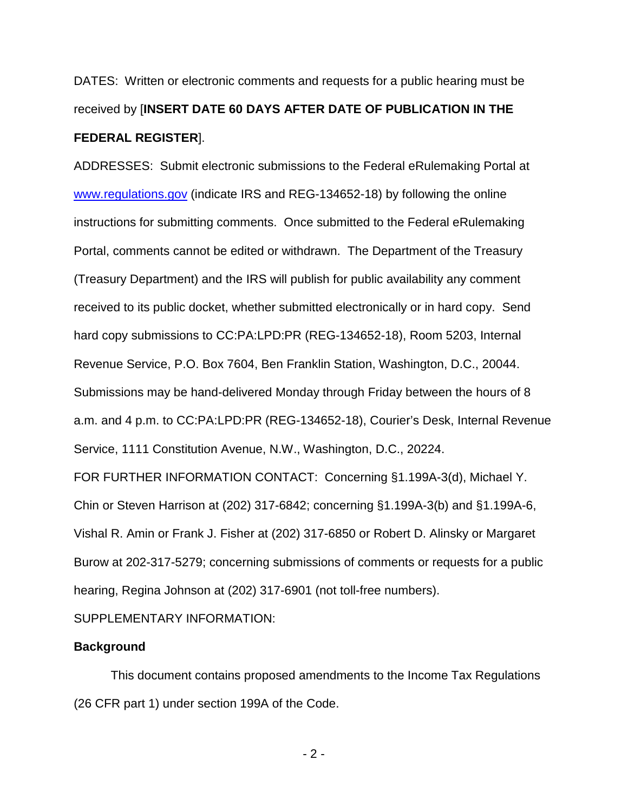DATES: Written or electronic comments and requests for a public hearing must be received by [**INSERT DATE 60 DAYS AFTER DATE OF PUBLICATION IN THE FEDERAL REGISTER**].

ADDRESSES: Submit electronic submissions to the Federal eRulemaking Portal at [www.regulations.gov](http://www.regulations.gov/) (indicate IRS and REG-134652-18) by following the online instructions for submitting comments. Once submitted to the Federal eRulemaking Portal, comments cannot be edited or withdrawn. The Department of the Treasury (Treasury Department) and the IRS will publish for public availability any comment received to its public docket, whether submitted electronically or in hard copy. Send hard copy submissions to CC:PA:LPD:PR (REG-134652-18), Room 5203, Internal Revenue Service, P.O. Box 7604, Ben Franklin Station, Washington, D.C., 20044. Submissions may be hand-delivered Monday through Friday between the hours of 8 a.m. and 4 p.m. to CC:PA:LPD:PR (REG-134652-18), Courier's Desk, Internal Revenue Service, 1111 Constitution Avenue, N.W., Washington, D.C., 20224.

FOR FURTHER INFORMATION CONTACT: Concerning §1.199A-3(d), Michael Y. Chin or Steven Harrison at (202) 317-6842; concerning §1.199A-3(b) and §1.199A-6, Vishal R. Amin or Frank J. Fisher at (202) 317-6850 or Robert D. Alinsky or Margaret Burow at 202-317-5279; concerning submissions of comments or requests for a public hearing, Regina Johnson at (202) 317-6901 (not toll-free numbers).

SUPPLEMENTARY INFORMATION:

### **Background**

This document contains proposed amendments to the Income Tax Regulations (26 CFR part 1) under section 199A of the Code.

 $- 2 -$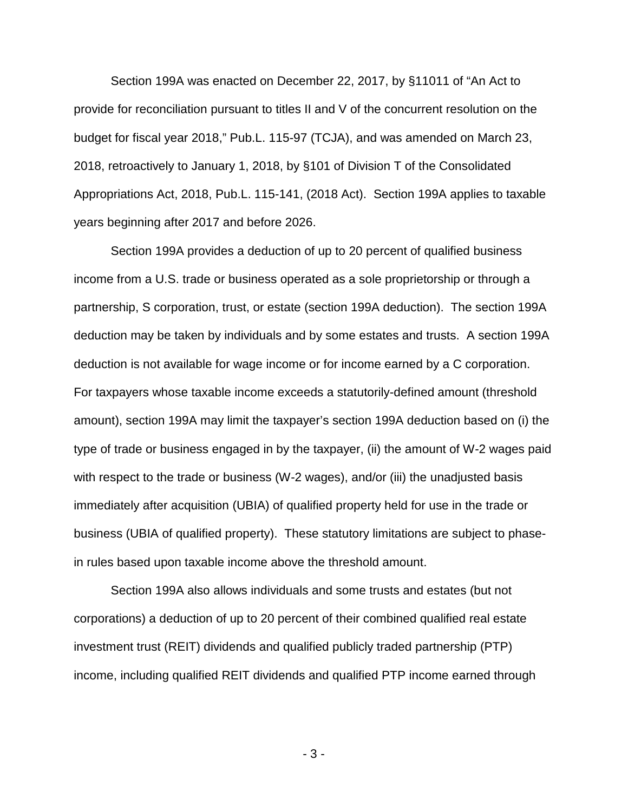Section 199A was enacted on December 22, 2017, by §11011 of "An Act to provide for reconciliation pursuant to titles II and V of the concurrent resolution on the budget for fiscal year 2018," Pub.L. 115-97 (TCJA), and was amended on March 23, 2018, retroactively to January 1, 2018, by §101 of Division T of the Consolidated Appropriations Act, 2018, Pub.L. 115-141, (2018 Act). Section 199A applies to taxable years beginning after 2017 and before 2026.

Section 199A provides a deduction of up to 20 percent of qualified business income from a U.S. trade or business operated as a sole proprietorship or through a partnership, S corporation, trust, or estate (section 199A deduction). The section 199A deduction may be taken by individuals and by some estates and trusts. A section 199A deduction is not available for wage income or for income earned by a C corporation. For taxpayers whose taxable income exceeds a statutorily-defined amount (threshold amount), section 199A may limit the taxpayer's section 199A deduction based on (i) the type of trade or business engaged in by the taxpayer, (ii) the amount of W-2 wages paid with respect to the trade or business (W-2 wages), and/or (iii) the unadjusted basis immediately after acquisition (UBIA) of qualified property held for use in the trade or business (UBIA of qualified property). These statutory limitations are subject to phasein rules based upon taxable income above the threshold amount.

Section 199A also allows individuals and some trusts and estates (but not corporations) a deduction of up to 20 percent of their combined qualified real estate investment trust (REIT) dividends and qualified publicly traded partnership (PTP) income, including qualified REIT dividends and qualified PTP income earned through

 $-3-$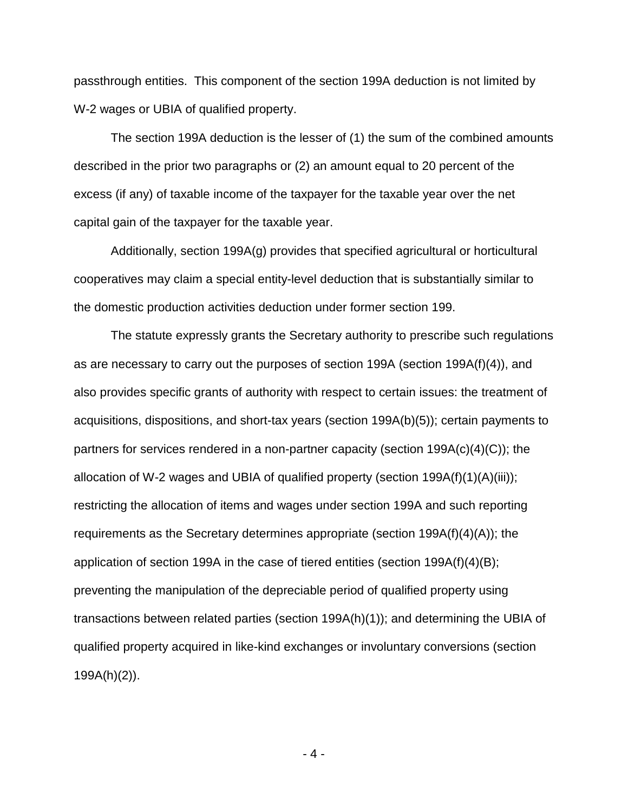passthrough entities. This component of the section 199A deduction is not limited by W-2 wages or UBIA of qualified property.

The section 199A deduction is the lesser of (1) the sum of the combined amounts described in the prior two paragraphs or (2) an amount equal to 20 percent of the excess (if any) of taxable income of the taxpayer for the taxable year over the net capital gain of the taxpayer for the taxable year.

Additionally, section 199A(g) provides that specified agricultural or horticultural cooperatives may claim a special entity-level deduction that is substantially similar to the domestic production activities deduction under former section 199.

The statute expressly grants the Secretary authority to prescribe such regulations as are necessary to carry out the purposes of section 199A (section 199A(f)(4)), and also provides specific grants of authority with respect to certain issues: the treatment of acquisitions, dispositions, and short-tax years (section 199A(b)(5)); certain payments to partners for services rendered in a non-partner capacity (section 199A(c)(4)(C)); the allocation of W-2 wages and UBIA of qualified property (section 199A(f)(1)(A)(iii)); restricting the allocation of items and wages under section 199A and such reporting requirements as the Secretary determines appropriate (section 199A(f)(4)(A)); the application of section 199A in the case of tiered entities (section 199A(f)(4)(B); preventing the manipulation of the depreciable period of qualified property using transactions between related parties (section 199A(h)(1)); and determining the UBIA of qualified property acquired in like-kind exchanges or involuntary conversions (section 199A(h)(2)).

 $-4-$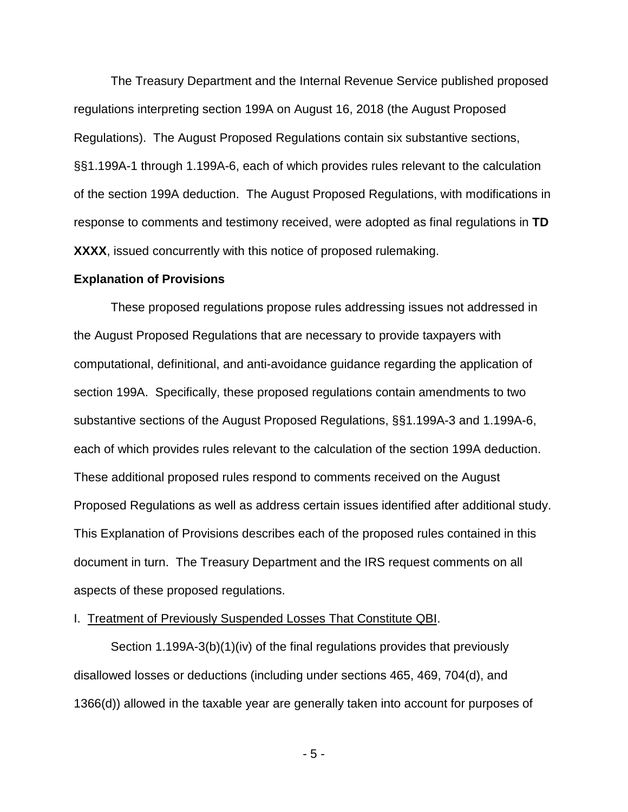The Treasury Department and the Internal Revenue Service published proposed regulations interpreting section 199A on August 16, 2018 (the August Proposed Regulations). The August Proposed Regulations contain six substantive sections, §§1.199A-1 through 1.199A-6, each of which provides rules relevant to the calculation of the section 199A deduction. The August Proposed Regulations, with modifications in response to comments and testimony received, were adopted as final regulations in **TD XXXX**, issued concurrently with this notice of proposed rulemaking.

#### **Explanation of Provisions**

These proposed regulations propose rules addressing issues not addressed in the August Proposed Regulations that are necessary to provide taxpayers with computational, definitional, and anti-avoidance guidance regarding the application of section 199A. Specifically, these proposed regulations contain amendments to two substantive sections of the August Proposed Regulations, §§1.199A-3 and 1.199A-6, each of which provides rules relevant to the calculation of the section 199A deduction. These additional proposed rules respond to comments received on the August Proposed Regulations as well as address certain issues identified after additional study. This Explanation of Provisions describes each of the proposed rules contained in this document in turn. The Treasury Department and the IRS request comments on all aspects of these proposed regulations.

### I. Treatment of Previously Suspended Losses That Constitute QBI.

Section 1.199A-3(b)(1)(iv) of the final regulations provides that previously disallowed losses or deductions (including under sections 465, 469, 704(d), and 1366(d)) allowed in the taxable year are generally taken into account for purposes of

 $-5 -$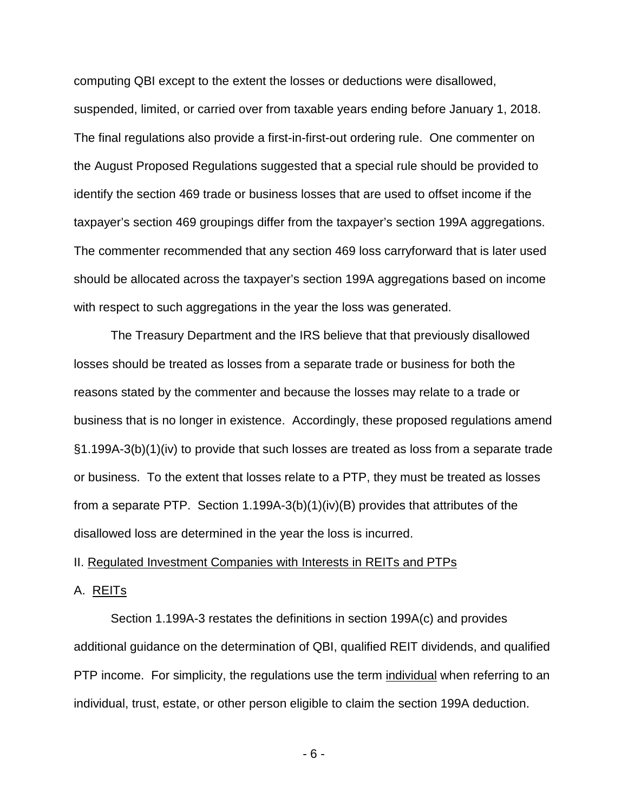computing QBI except to the extent the losses or deductions were disallowed, suspended, limited, or carried over from taxable years ending before January 1, 2018. The final regulations also provide a first-in-first-out ordering rule. One commenter on the August Proposed Regulations suggested that a special rule should be provided to identify the section 469 trade or business losses that are used to offset income if the taxpayer's section 469 groupings differ from the taxpayer's section 199A aggregations. The commenter recommended that any section 469 loss carryforward that is later used should be allocated across the taxpayer's section 199A aggregations based on income with respect to such aggregations in the year the loss was generated.

The Treasury Department and the IRS believe that that previously disallowed losses should be treated as losses from a separate trade or business for both the reasons stated by the commenter and because the losses may relate to a trade or business that is no longer in existence. Accordingly, these proposed regulations amend §1.199A-3(b)(1)(iv) to provide that such losses are treated as loss from a separate trade or business. To the extent that losses relate to a PTP, they must be treated as losses from a separate PTP. Section 1.199A-3(b)(1)(iv)(B) provides that attributes of the disallowed loss are determined in the year the loss is incurred.

### II. Regulated Investment Companies with Interests in REITs and PTPs

### A. REITs

Section 1.199A-3 restates the definitions in section 199A(c) and provides additional guidance on the determination of QBI, qualified REIT dividends, and qualified PTP income. For simplicity, the regulations use the term individual when referring to an individual, trust, estate, or other person eligible to claim the section 199A deduction.

- 6 -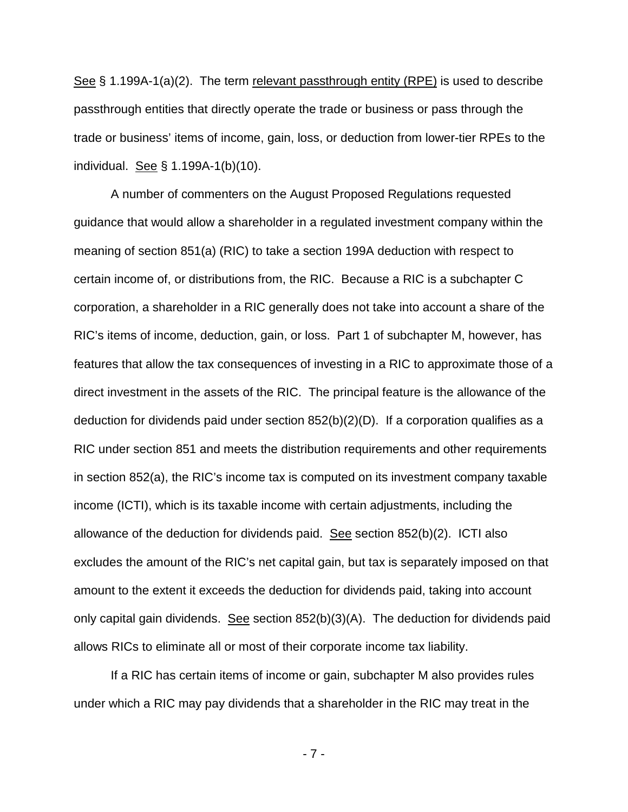See § 1.199A-1(a)(2). The term relevant passthrough entity (RPE) is used to describe passthrough entities that directly operate the trade or business or pass through the trade or business' items of income, gain, loss, or deduction from lower-tier RPEs to the individual. See § 1.199A-1(b)(10).

A number of commenters on the August Proposed Regulations requested guidance that would allow a shareholder in a regulated investment company within the meaning of section 851(a) (RIC) to take a section 199A deduction with respect to certain income of, or distributions from, the RIC. Because a RIC is a subchapter C corporation, a shareholder in a RIC generally does not take into account a share of the RIC's items of income, deduction, gain, or loss. Part 1 of subchapter M, however, has features that allow the tax consequences of investing in a RIC to approximate those of a direct investment in the assets of the RIC. The principal feature is the allowance of the deduction for dividends paid under section 852(b)(2)(D). If a corporation qualifies as a RIC under section 851 and meets the distribution requirements and other requirements in section 852(a), the RIC's income tax is computed on its investment company taxable income (ICTI), which is its taxable income with certain adjustments, including the allowance of the deduction for dividends paid. See section 852(b)(2). ICTI also excludes the amount of the RIC's net capital gain, but tax is separately imposed on that amount to the extent it exceeds the deduction for dividends paid, taking into account only capital gain dividends. See section  $852(b)(3)(A)$ . The deduction for dividends paid allows RICs to eliminate all or most of their corporate income tax liability.

If a RIC has certain items of income or gain, subchapter M also provides rules under which a RIC may pay dividends that a shareholder in the RIC may treat in the

- 7 -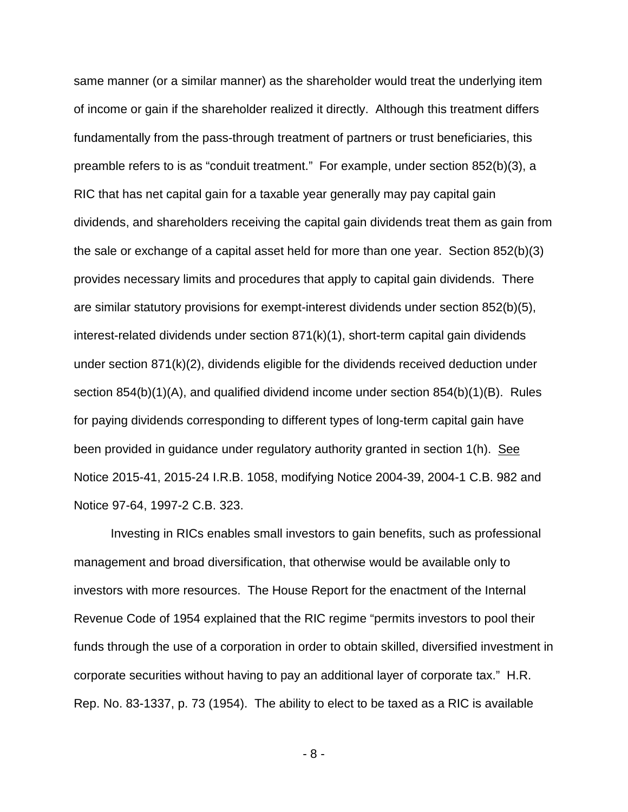same manner (or a similar manner) as the shareholder would treat the underlying item of income or gain if the shareholder realized it directly. Although this treatment differs fundamentally from the pass-through treatment of partners or trust beneficiaries, this preamble refers to is as "conduit treatment." For example, under section 852(b)(3), a RIC that has net capital gain for a taxable year generally may pay capital gain dividends, and shareholders receiving the capital gain dividends treat them as gain from the sale or exchange of a capital asset held for more than one year. Section 852(b)(3) provides necessary limits and procedures that apply to capital gain dividends. There are similar statutory provisions for exempt-interest dividends under section 852(b)(5), interest-related dividends under section 871(k)(1), short-term capital gain dividends under section 871(k)(2), dividends eligible for the dividends received deduction under section 854(b)(1)(A), and qualified dividend income under section 854(b)(1)(B). Rules for paying dividends corresponding to different types of long-term capital gain have been provided in guidance under regulatory authority granted in section 1(h). See Notice 2015-41, 2015-24 I.R.B. 1058, modifying Notice 2004-39, 2004-1 C.B. 982 and Notice 97-64, 1997-2 C.B. 323.

Investing in RICs enables small investors to gain benefits, such as professional management and broad diversification, that otherwise would be available only to investors with more resources. The House Report for the enactment of the Internal Revenue Code of 1954 explained that the RIC regime "permits investors to pool their funds through the use of a corporation in order to obtain skilled, diversified investment in corporate securities without having to pay an additional layer of corporate tax." H.R. Rep. No. 83-1337, p. 73 (1954). The ability to elect to be taxed as a RIC is available

 $-8 -$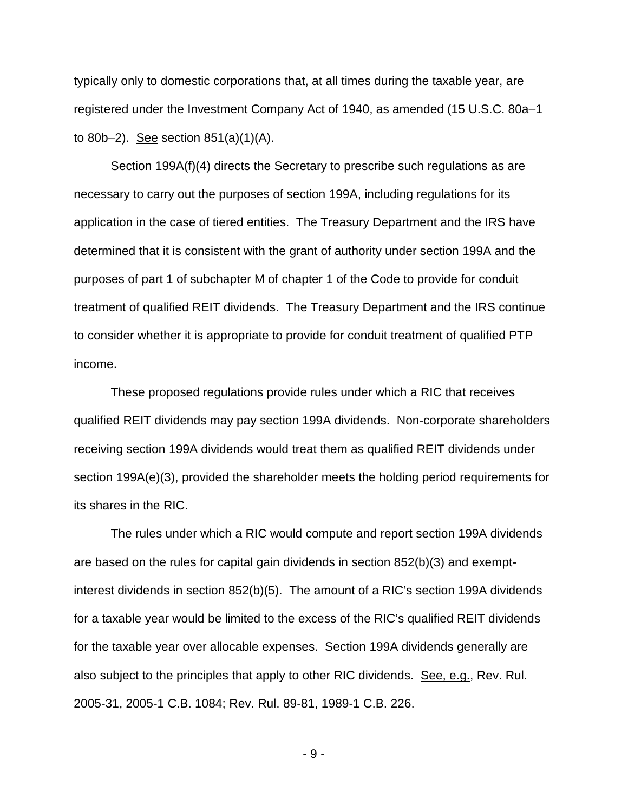typically only to domestic corporations that, at all times during the taxable year, are registered under the Investment Company Act of 1940, as amended (15 U.S.C. 80a–1 to 80b–2). See section 851(a)(1)(A).

Section 199A(f)(4) directs the Secretary to prescribe such regulations as are necessary to carry out the purposes of section 199A, including regulations for its application in the case of tiered entities. The Treasury Department and the IRS have determined that it is consistent with the grant of authority under section 199A and the purposes of part 1 of subchapter M of chapter 1 of the Code to provide for conduit treatment of qualified REIT dividends. The Treasury Department and the IRS continue to consider whether it is appropriate to provide for conduit treatment of qualified PTP income.

These proposed regulations provide rules under which a RIC that receives qualified REIT dividends may pay section 199A dividends. Non-corporate shareholders receiving section 199A dividends would treat them as qualified REIT dividends under section 199A(e)(3), provided the shareholder meets the holding period requirements for its shares in the RIC.

The rules under which a RIC would compute and report section 199A dividends are based on the rules for capital gain dividends in section 852(b)(3) and exemptinterest dividends in section 852(b)(5). The amount of a RIC's section 199A dividends for a taxable year would be limited to the excess of the RIC's qualified REIT dividends for the taxable year over allocable expenses. Section 199A dividends generally are also subject to the principles that apply to other RIC dividends. See, e.g., Rev. Rul. 2005-31, 2005-1 C.B. 1084; Rev. Rul. 89-81, 1989-1 C.B. 226.

- 9 -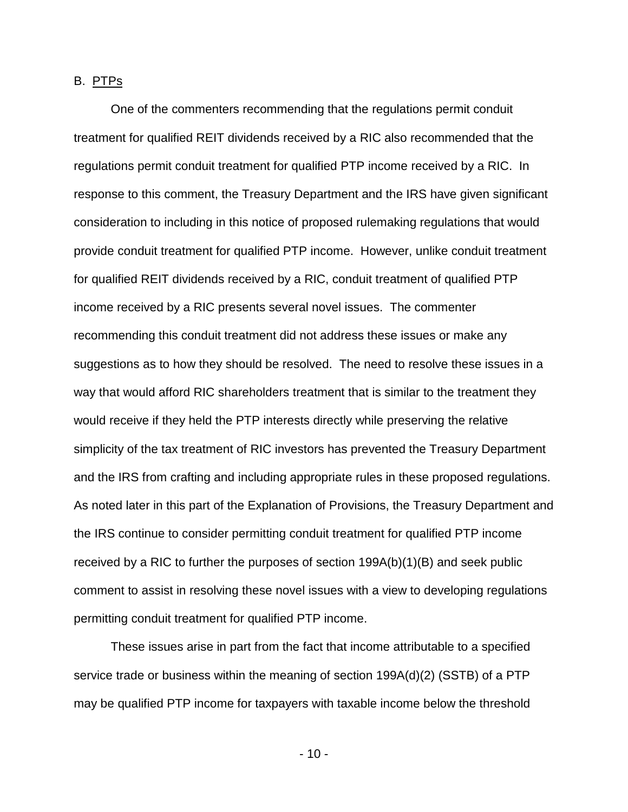### B. PTPs

One of the commenters recommending that the regulations permit conduit treatment for qualified REIT dividends received by a RIC also recommended that the regulations permit conduit treatment for qualified PTP income received by a RIC. In response to this comment, the Treasury Department and the IRS have given significant consideration to including in this notice of proposed rulemaking regulations that would provide conduit treatment for qualified PTP income. However, unlike conduit treatment for qualified REIT dividends received by a RIC, conduit treatment of qualified PTP income received by a RIC presents several novel issues. The commenter recommending this conduit treatment did not address these issues or make any suggestions as to how they should be resolved. The need to resolve these issues in a way that would afford RIC shareholders treatment that is similar to the treatment they would receive if they held the PTP interests directly while preserving the relative simplicity of the tax treatment of RIC investors has prevented the Treasury Department and the IRS from crafting and including appropriate rules in these proposed regulations. As noted later in this part of the Explanation of Provisions, the Treasury Department and the IRS continue to consider permitting conduit treatment for qualified PTP income received by a RIC to further the purposes of section 199A(b)(1)(B) and seek public comment to assist in resolving these novel issues with a view to developing regulations permitting conduit treatment for qualified PTP income.

These issues arise in part from the fact that income attributable to a specified service trade or business within the meaning of section 199A(d)(2) (SSTB) of a PTP may be qualified PTP income for taxpayers with taxable income below the threshold

 $- 10 -$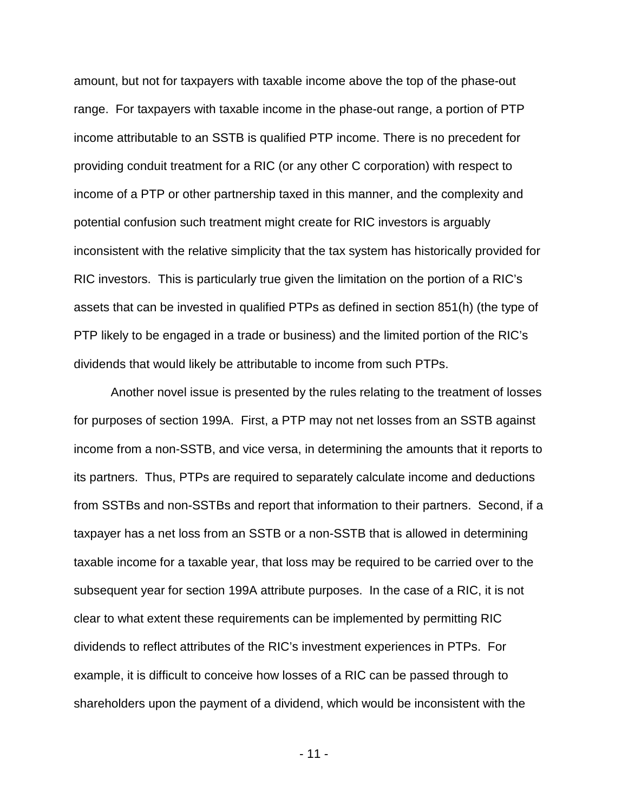amount, but not for taxpayers with taxable income above the top of the phase-out range. For taxpayers with taxable income in the phase-out range, a portion of PTP income attributable to an SSTB is qualified PTP income. There is no precedent for providing conduit treatment for a RIC (or any other C corporation) with respect to income of a PTP or other partnership taxed in this manner, and the complexity and potential confusion such treatment might create for RIC investors is arguably inconsistent with the relative simplicity that the tax system has historically provided for RIC investors. This is particularly true given the limitation on the portion of a RIC's assets that can be invested in qualified PTPs as defined in section 851(h) (the type of PTP likely to be engaged in a trade or business) and the limited portion of the RIC's dividends that would likely be attributable to income from such PTPs.

Another novel issue is presented by the rules relating to the treatment of losses for purposes of section 199A. First, a PTP may not net losses from an SSTB against income from a non-SSTB, and vice versa, in determining the amounts that it reports to its partners. Thus, PTPs are required to separately calculate income and deductions from SSTBs and non-SSTBs and report that information to their partners. Second, if a taxpayer has a net loss from an SSTB or a non-SSTB that is allowed in determining taxable income for a taxable year, that loss may be required to be carried over to the subsequent year for section 199A attribute purposes. In the case of a RIC, it is not clear to what extent these requirements can be implemented by permitting RIC dividends to reflect attributes of the RIC's investment experiences in PTPs. For example, it is difficult to conceive how losses of a RIC can be passed through to shareholders upon the payment of a dividend, which would be inconsistent with the

 $- 11 -$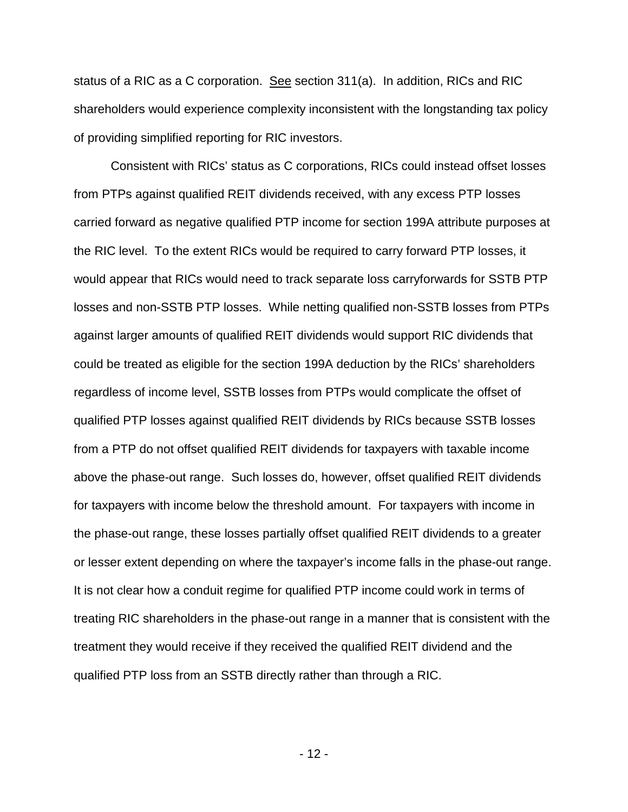status of a RIC as a C corporation. See section 311(a). In addition, RICs and RIC shareholders would experience complexity inconsistent with the longstanding tax policy of providing simplified reporting for RIC investors.

Consistent with RICs' status as C corporations, RICs could instead offset losses from PTPs against qualified REIT dividends received, with any excess PTP losses carried forward as negative qualified PTP income for section 199A attribute purposes at the RIC level. To the extent RICs would be required to carry forward PTP losses, it would appear that RICs would need to track separate loss carryforwards for SSTB PTP losses and non-SSTB PTP losses. While netting qualified non-SSTB losses from PTPs against larger amounts of qualified REIT dividends would support RIC dividends that could be treated as eligible for the section 199A deduction by the RICs' shareholders regardless of income level, SSTB losses from PTPs would complicate the offset of qualified PTP losses against qualified REIT dividends by RICs because SSTB losses from a PTP do not offset qualified REIT dividends for taxpayers with taxable income above the phase-out range. Such losses do, however, offset qualified REIT dividends for taxpayers with income below the threshold amount. For taxpayers with income in the phase-out range, these losses partially offset qualified REIT dividends to a greater or lesser extent depending on where the taxpayer's income falls in the phase-out range. It is not clear how a conduit regime for qualified PTP income could work in terms of treating RIC shareholders in the phase-out range in a manner that is consistent with the treatment they would receive if they received the qualified REIT dividend and the qualified PTP loss from an SSTB directly rather than through a RIC.

 $- 12 -$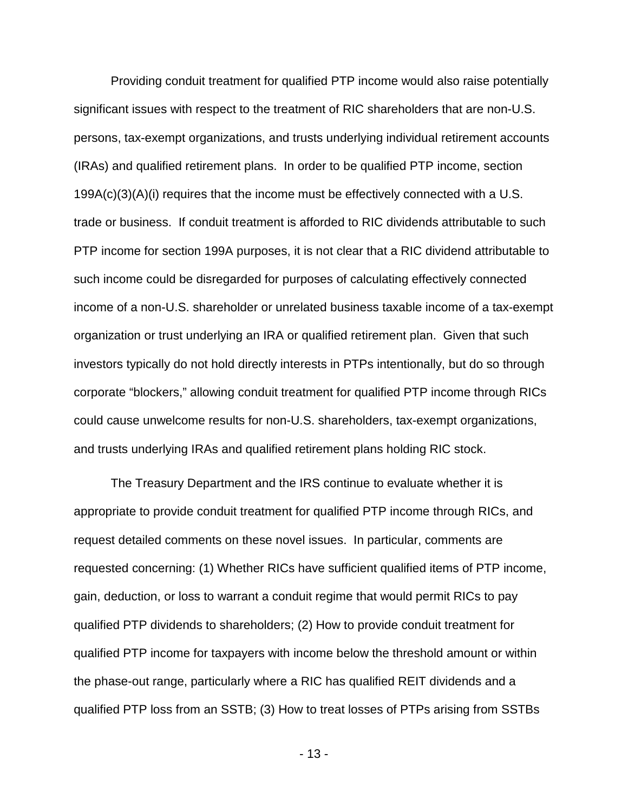Providing conduit treatment for qualified PTP income would also raise potentially significant issues with respect to the treatment of RIC shareholders that are non-U.S. persons, tax-exempt organizations, and trusts underlying individual retirement accounts (IRAs) and qualified retirement plans. In order to be qualified PTP income, section  $199A(c)(3)(A)(i)$  requires that the income must be effectively connected with a U.S. trade or business. If conduit treatment is afforded to RIC dividends attributable to such PTP income for section 199A purposes, it is not clear that a RIC dividend attributable to such income could be disregarded for purposes of calculating effectively connected income of a non-U.S. shareholder or unrelated business taxable income of a tax-exempt organization or trust underlying an IRA or qualified retirement plan. Given that such investors typically do not hold directly interests in PTPs intentionally, but do so through corporate "blockers," allowing conduit treatment for qualified PTP income through RICs could cause unwelcome results for non-U.S. shareholders, tax-exempt organizations, and trusts underlying IRAs and qualified retirement plans holding RIC stock.

The Treasury Department and the IRS continue to evaluate whether it is appropriate to provide conduit treatment for qualified PTP income through RICs, and request detailed comments on these novel issues. In particular, comments are requested concerning: (1) Whether RICs have sufficient qualified items of PTP income, gain, deduction, or loss to warrant a conduit regime that would permit RICs to pay qualified PTP dividends to shareholders; (2) How to provide conduit treatment for qualified PTP income for taxpayers with income below the threshold amount or within the phase-out range, particularly where a RIC has qualified REIT dividends and a qualified PTP loss from an SSTB; (3) How to treat losses of PTPs arising from SSTBs

 $- 13 -$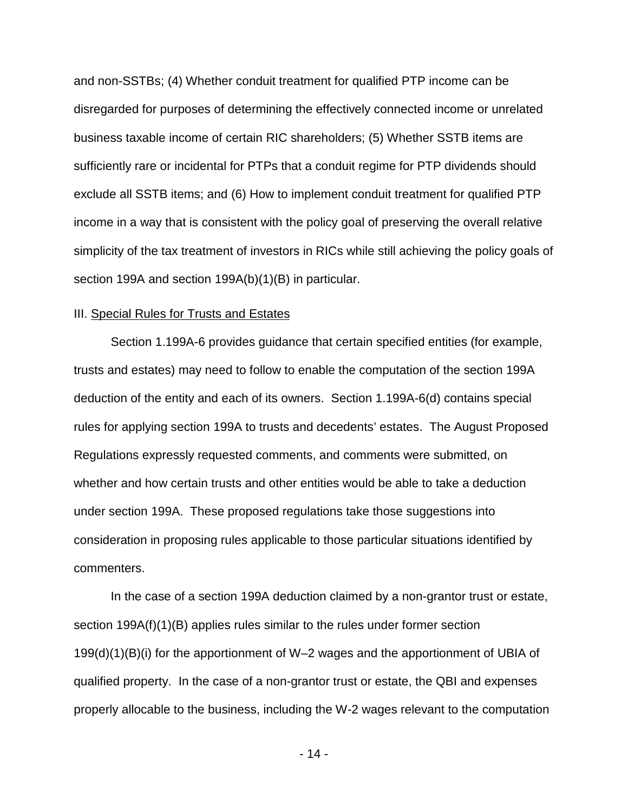and non-SSTBs; (4) Whether conduit treatment for qualified PTP income can be disregarded for purposes of determining the effectively connected income or unrelated business taxable income of certain RIC shareholders; (5) Whether SSTB items are sufficiently rare or incidental for PTPs that a conduit regime for PTP dividends should exclude all SSTB items; and (6) How to implement conduit treatment for qualified PTP income in a way that is consistent with the policy goal of preserving the overall relative simplicity of the tax treatment of investors in RICs while still achieving the policy goals of section 199A and section 199A(b)(1)(B) in particular.

### III. Special Rules for Trusts and Estates

Section 1.199A-6 provides guidance that certain specified entities (for example, trusts and estates) may need to follow to enable the computation of the section 199A deduction of the entity and each of its owners. Section 1.199A-6(d) contains special rules for applying section 199A to trusts and decedents' estates. The August Proposed Regulations expressly requested comments, and comments were submitted, on whether and how certain trusts and other entities would be able to take a deduction under section 199A. These proposed regulations take those suggestions into consideration in proposing rules applicable to those particular situations identified by commenters.

In the case of a section 199A deduction claimed by a non-grantor trust or estate, section 199A(f)(1)(B) applies rules similar to the rules under former section 199(d)(1)(B)(i) for the apportionment of W–2 wages and the apportionment of UBIA of qualified property. In the case of a non-grantor trust or estate, the QBI and expenses properly allocable to the business, including the W-2 wages relevant to the computation

 $- 14 -$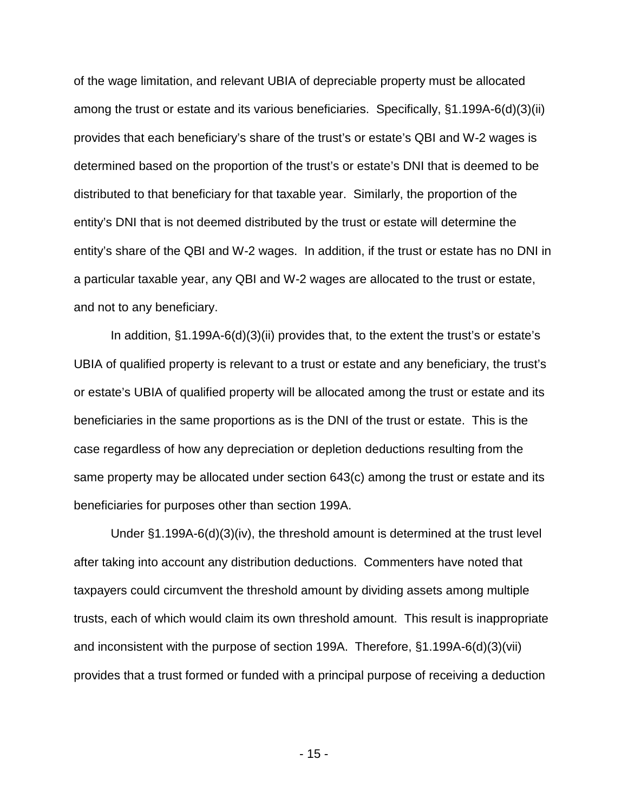of the wage limitation, and relevant UBIA of depreciable property must be allocated among the trust or estate and its various beneficiaries. Specifically, §1.199A-6(d)(3)(ii) provides that each beneficiary's share of the trust's or estate's QBI and W-2 wages is determined based on the proportion of the trust's or estate's DNI that is deemed to be distributed to that beneficiary for that taxable year. Similarly, the proportion of the entity's DNI that is not deemed distributed by the trust or estate will determine the entity's share of the QBI and W-2 wages. In addition, if the trust or estate has no DNI in a particular taxable year, any QBI and W-2 wages are allocated to the trust or estate, and not to any beneficiary.

In addition, §1.199A-6(d)(3)(ii) provides that, to the extent the trust's or estate's UBIA of qualified property is relevant to a trust or estate and any beneficiary, the trust's or estate's UBIA of qualified property will be allocated among the trust or estate and its beneficiaries in the same proportions as is the DNI of the trust or estate. This is the case regardless of how any depreciation or depletion deductions resulting from the same property may be allocated under section 643(c) among the trust or estate and its beneficiaries for purposes other than section 199A.

Under §1.199A-6(d)(3)(iv), the threshold amount is determined at the trust level after taking into account any distribution deductions. Commenters have noted that taxpayers could circumvent the threshold amount by dividing assets among multiple trusts, each of which would claim its own threshold amount. This result is inappropriate and inconsistent with the purpose of section 199A. Therefore, §1.199A-6(d)(3)(vii) provides that a trust formed or funded with a principal purpose of receiving a deduction

- 15 -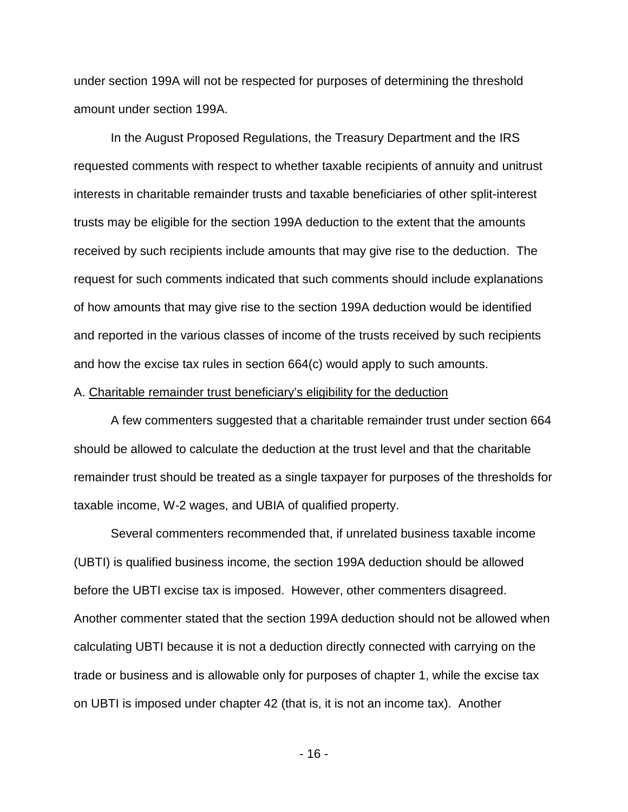under section 199A will not be respected for purposes of determining the threshold amount under section 199A.

In the August Proposed Regulations, the Treasury Department and the IRS requested comments with respect to whether taxable recipients of annuity and unitrust interests in charitable remainder trusts and taxable beneficiaries of other split-interest trusts may be eligible for the section 199A deduction to the extent that the amounts received by such recipients include amounts that may give rise to the deduction. The request for such comments indicated that such comments should include explanations of how amounts that may give rise to the section 199A deduction would be identified and reported in the various classes of income of the trusts received by such recipients and how the excise tax rules in section 664(c) would apply to such amounts.

### A. Charitable remainder trust beneficiary's eligibility for the deduction

A few commenters suggested that a charitable remainder trust under section 664 should be allowed to calculate the deduction at the trust level and that the charitable remainder trust should be treated as a single taxpayer for purposes of the thresholds for taxable income, W-2 wages, and UBIA of qualified property.

Several commenters recommended that, if unrelated business taxable income (UBTI) is qualified business income, the section 199A deduction should be allowed before the UBTI excise tax is imposed. However, other commenters disagreed. Another commenter stated that the section 199A deduction should not be allowed when calculating UBTI because it is not a deduction directly connected with carrying on the trade or business and is allowable only for purposes of chapter 1, while the excise tax on UBTI is imposed under chapter 42 (that is, it is not an income tax). Another

 $- 16 -$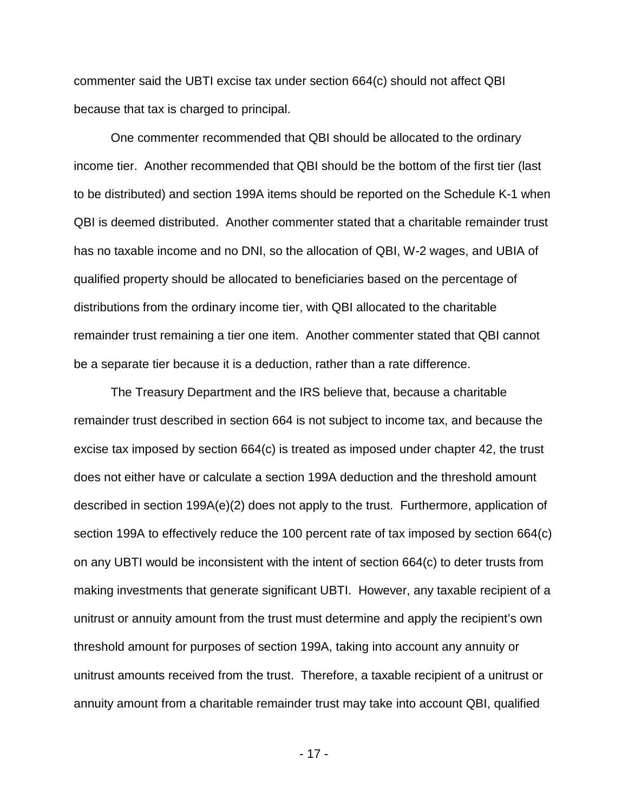commenter said the UBTI excise tax under section 664(c) should not affect QBI because that tax is charged to principal.

One commenter recommended that QBI should be allocated to the ordinary income tier. Another recommended that QBI should be the bottom of the first tier (last to be distributed) and section 199A items should be reported on the Schedule K-1 when QBI is deemed distributed. Another commenter stated that a charitable remainder trust has no taxable income and no DNI, so the allocation of QBI, W-2 wages, and UBIA of qualified property should be allocated to beneficiaries based on the percentage of distributions from the ordinary income tier, with QBI allocated to the charitable remainder trust remaining a tier one item. Another commenter stated that QBI cannot be a separate tier because it is a deduction, rather than a rate difference.

The Treasury Department and the IRS believe that, because a charitable remainder trust described in section 664 is not subject to income tax, and because the excise tax imposed by section 664(c) is treated as imposed under chapter 42, the trust does not either have or calculate a section 199A deduction and the threshold amount described in section 199A(e)(2) does not apply to the trust. Furthermore, application of section 199A to effectively reduce the 100 percent rate of tax imposed by section 664(c) on any UBTI would be inconsistent with the intent of section 664(c) to deter trusts from making investments that generate significant UBTI. However, any taxable recipient of a unitrust or annuity amount from the trust must determine and apply the recipient's own threshold amount for purposes of section 199A, taking into account any annuity or unitrust amounts received from the trust. Therefore, a taxable recipient of a unitrust or annuity amount from a charitable remainder trust may take into account QBI, qualified

 $- 17 -$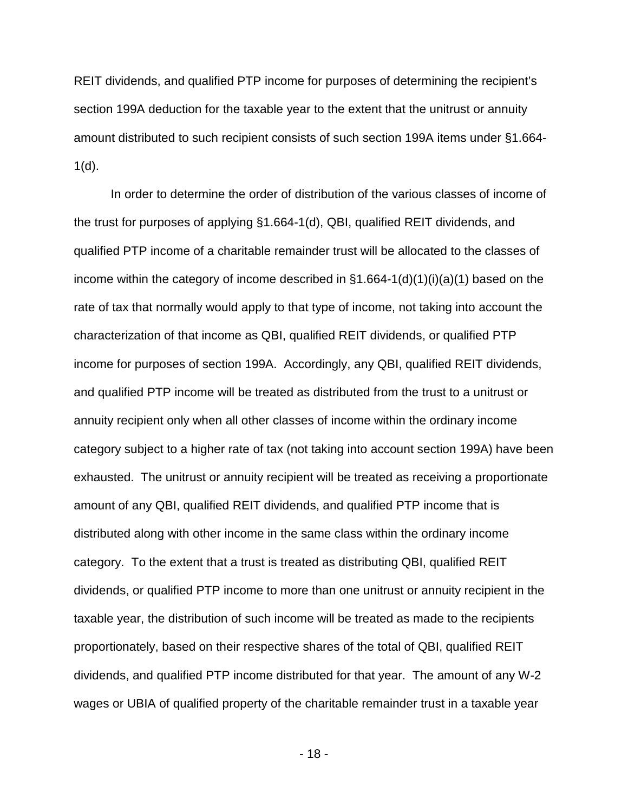REIT dividends, and qualified PTP income for purposes of determining the recipient's section 199A deduction for the taxable year to the extent that the unitrust or annuity amount distributed to such recipient consists of such section 199A items under §1.664-  $1(d)$ .

In order to determine the order of distribution of the various classes of income of the trust for purposes of applying §1.664-1(d), QBI, qualified REIT dividends, and qualified PTP income of a charitable remainder trust will be allocated to the classes of income within the category of income described in  $§1.664-1(d)(1)(i)(a)(1)$  based on the rate of tax that normally would apply to that type of income, not taking into account the characterization of that income as QBI, qualified REIT dividends, or qualified PTP income for purposes of section 199A. Accordingly, any QBI, qualified REIT dividends, and qualified PTP income will be treated as distributed from the trust to a unitrust or annuity recipient only when all other classes of income within the ordinary income category subject to a higher rate of tax (not taking into account section 199A) have been exhausted. The unitrust or annuity recipient will be treated as receiving a proportionate amount of any QBI, qualified REIT dividends, and qualified PTP income that is distributed along with other income in the same class within the ordinary income category. To the extent that a trust is treated as distributing QBI, qualified REIT dividends, or qualified PTP income to more than one unitrust or annuity recipient in the taxable year, the distribution of such income will be treated as made to the recipients proportionately, based on their respective shares of the total of QBI, qualified REIT dividends, and qualified PTP income distributed for that year. The amount of any W-2 wages or UBIA of qualified property of the charitable remainder trust in a taxable year

 $- 18 - 18$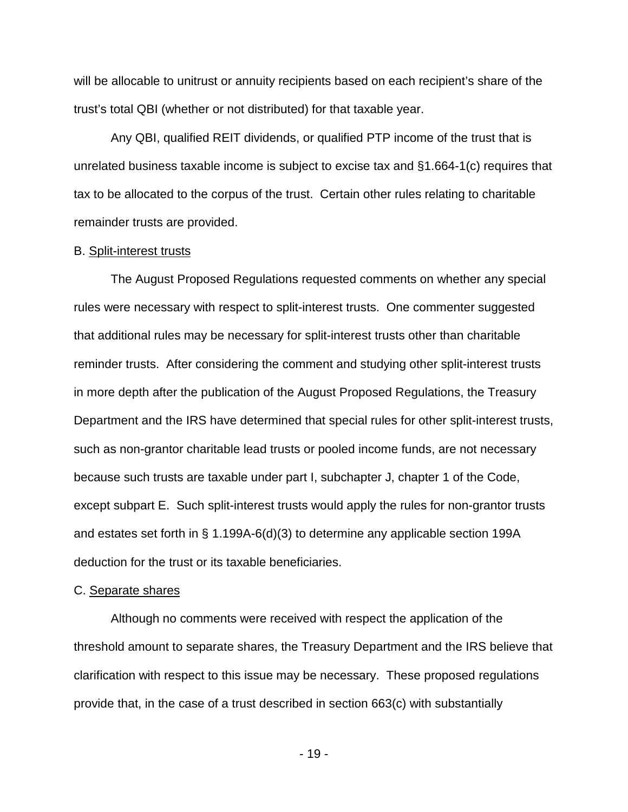will be allocable to unitrust or annuity recipients based on each recipient's share of the trust's total QBI (whether or not distributed) for that taxable year.

Any QBI, qualified REIT dividends, or qualified PTP income of the trust that is unrelated business taxable income is subject to excise tax and §1.664-1(c) requires that tax to be allocated to the corpus of the trust. Certain other rules relating to charitable remainder trusts are provided.

#### B. Split-interest trusts

The August Proposed Regulations requested comments on whether any special rules were necessary with respect to split-interest trusts. One commenter suggested that additional rules may be necessary for split-interest trusts other than charitable reminder trusts. After considering the comment and studying other split-interest trusts in more depth after the publication of the August Proposed Regulations, the Treasury Department and the IRS have determined that special rules for other split-interest trusts, such as non-grantor charitable lead trusts or pooled income funds, are not necessary because such trusts are taxable under part I, subchapter J, chapter 1 of the Code, except subpart E. Such split-interest trusts would apply the rules for non-grantor trusts and estates set forth in § 1.199A-6(d)(3) to determine any applicable section 199A deduction for the trust or its taxable beneficiaries.

#### C. Separate shares

Although no comments were received with respect the application of the threshold amount to separate shares, the Treasury Department and the IRS believe that clarification with respect to this issue may be necessary. These proposed regulations provide that, in the case of a trust described in section 663(c) with substantially

- 19 -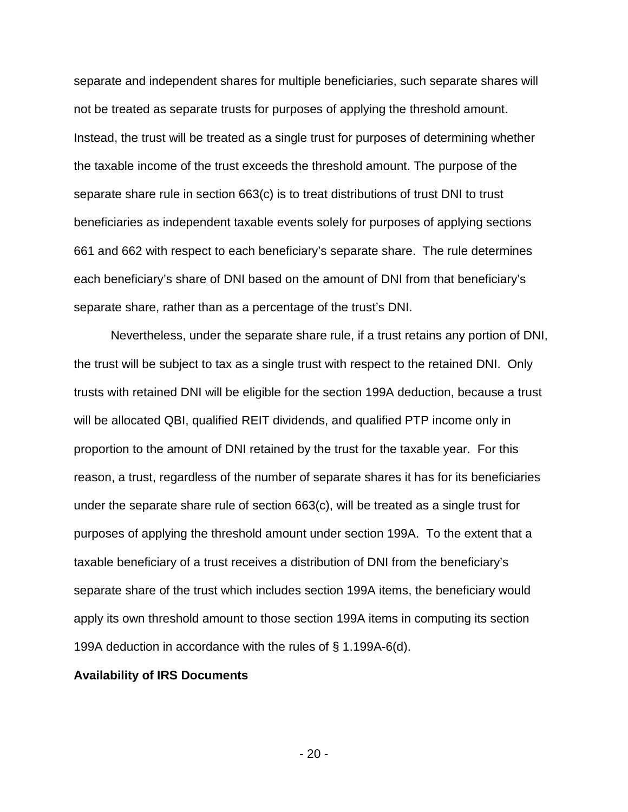separate and independent shares for multiple beneficiaries, such separate shares will not be treated as separate trusts for purposes of applying the threshold amount. Instead, the trust will be treated as a single trust for purposes of determining whether the taxable income of the trust exceeds the threshold amount. The purpose of the separate share rule in section 663(c) is to treat distributions of trust DNI to trust beneficiaries as independent taxable events solely for purposes of applying sections 661 and 662 with respect to each beneficiary's separate share. The rule determines each beneficiary's share of DNI based on the amount of DNI from that beneficiary's separate share, rather than as a percentage of the trust's DNI.

Nevertheless, under the separate share rule, if a trust retains any portion of DNI, the trust will be subject to tax as a single trust with respect to the retained DNI. Only trusts with retained DNI will be eligible for the section 199A deduction, because a trust will be allocated QBI, qualified REIT dividends, and qualified PTP income only in proportion to the amount of DNI retained by the trust for the taxable year. For this reason, a trust, regardless of the number of separate shares it has for its beneficiaries under the separate share rule of section 663(c), will be treated as a single trust for purposes of applying the threshold amount under section 199A. To the extent that a taxable beneficiary of a trust receives a distribution of DNI from the beneficiary's separate share of the trust which includes section 199A items, the beneficiary would apply its own threshold amount to those section 199A items in computing its section 199A deduction in accordance with the rules of § 1.199A-6(d).

### **Availability of IRS Documents**

 $- 20 -$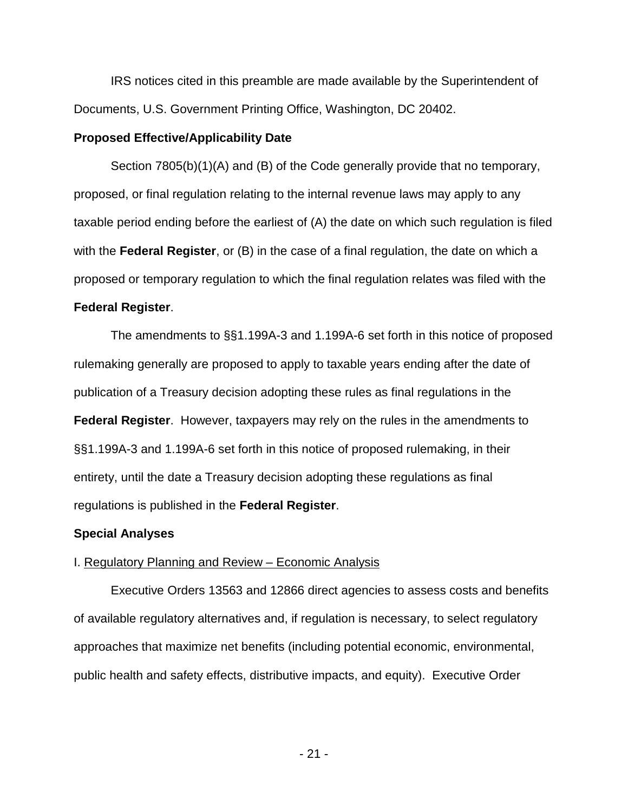IRS notices cited in this preamble are made available by the Superintendent of Documents, U.S. Government Printing Office, Washington, DC 20402.

### **Proposed Effective/Applicability Date**

Section 7805(b)(1)(A) and (B) of the Code generally provide that no temporary, proposed, or final regulation relating to the internal revenue laws may apply to any taxable period ending before the earliest of (A) the date on which such regulation is filed with the **Federal Register**, or (B) in the case of a final regulation, the date on which a proposed or temporary regulation to which the final regulation relates was filed with the **Federal Register**.

The amendments to §§1.199A-3 and 1.199A-6 set forth in this notice of proposed rulemaking generally are proposed to apply to taxable years ending after the date of publication of a Treasury decision adopting these rules as final regulations in the **Federal Register**. However, taxpayers may rely on the rules in the amendments to §§1.199A-3 and 1.199A-6 set forth in this notice of proposed rulemaking, in their entirety, until the date a Treasury decision adopting these regulations as final regulations is published in the **Federal Register**.

# **Special Analyses**

# I. Regulatory Planning and Review – Economic Analysis

Executive Orders 13563 and 12866 direct agencies to assess costs and benefits of available regulatory alternatives and, if regulation is necessary, to select regulatory approaches that maximize net benefits (including potential economic, environmental, public health and safety effects, distributive impacts, and equity). Executive Order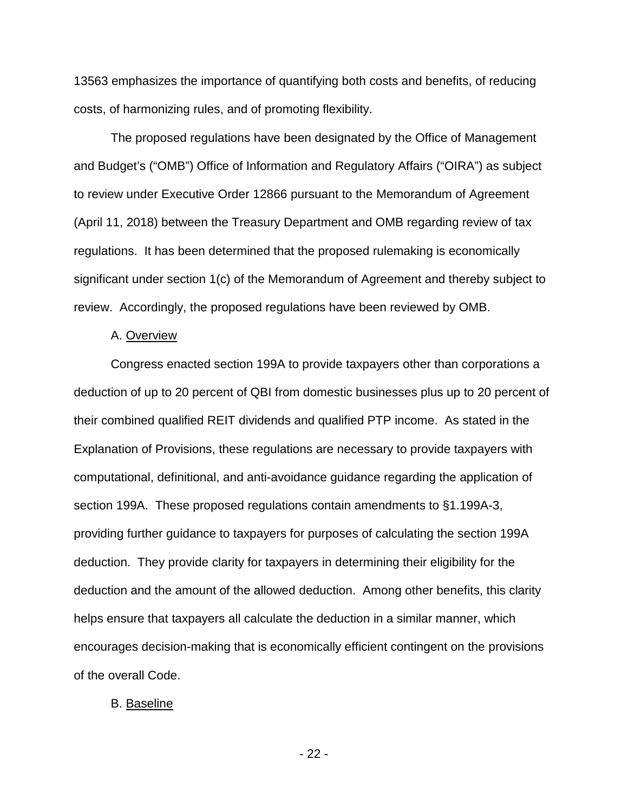13563 emphasizes the importance of quantifying both costs and benefits, of reducing costs, of harmonizing rules, and of promoting flexibility.

The proposed regulations have been designated by the Office of Management and Budget's ("OMB") Office of Information and Regulatory Affairs ("OIRA") as subject to review under Executive Order 12866 pursuant to the Memorandum of Agreement (April 11, 2018) between the Treasury Department and OMB regarding review of tax regulations. It has been determined that the proposed rulemaking is economically significant under section 1(c) of the Memorandum of Agreement and thereby subject to review. Accordingly, the proposed regulations have been reviewed by OMB.

#### A. Overview

Congress enacted section 199A to provide taxpayers other than corporations a deduction of up to 20 percent of QBI from domestic businesses plus up to 20 percent of their combined qualified REIT dividends and qualified PTP income. As stated in the Explanation of Provisions, these regulations are necessary to provide taxpayers with computational, definitional, and anti-avoidance guidance regarding the application of section 199A. These proposed regulations contain amendments to §1.199A-3, providing further guidance to taxpayers for purposes of calculating the section 199A deduction. They provide clarity for taxpayers in determining their eligibility for the deduction and the amount of the allowed deduction. Among other benefits, this clarity helps ensure that taxpayers all calculate the deduction in a similar manner, which encourages decision-making that is economically efficient contingent on the provisions of the overall Code.

#### B. Baseline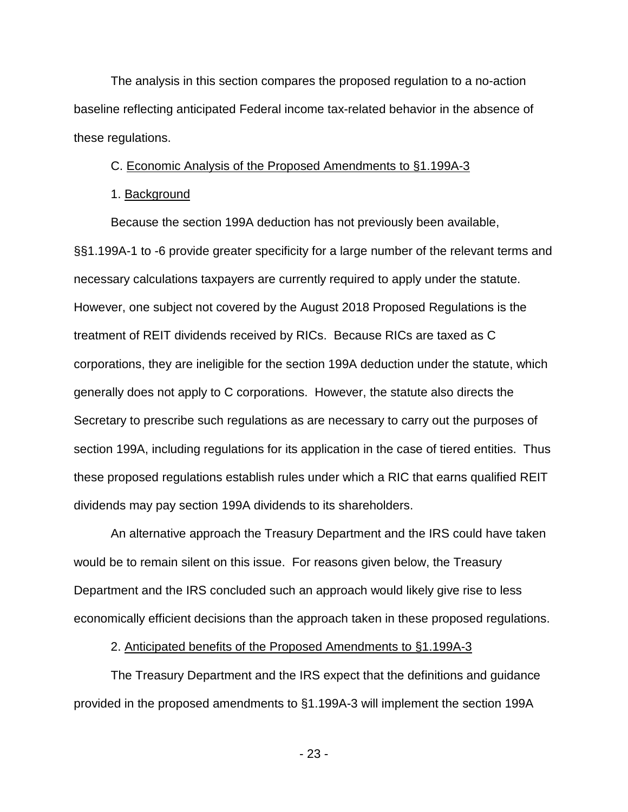The analysis in this section compares the proposed regulation to a no-action baseline reflecting anticipated Federal income tax-related behavior in the absence of these regulations.

### C. Economic Analysis of the Proposed Amendments to §1.199A-3

### 1. Background

Because the section 199A deduction has not previously been available, §§1.199A-1 to -6 provide greater specificity for a large number of the relevant terms and necessary calculations taxpayers are currently required to apply under the statute. However, one subject not covered by the August 2018 Proposed Regulations is the treatment of REIT dividends received by RICs. Because RICs are taxed as C corporations, they are ineligible for the section 199A deduction under the statute, which generally does not apply to C corporations. However, the statute also directs the Secretary to prescribe such regulations as are necessary to carry out the purposes of section 199A, including regulations for its application in the case of tiered entities. Thus these proposed regulations establish rules under which a RIC that earns qualified REIT dividends may pay section 199A dividends to its shareholders.

An alternative approach the Treasury Department and the IRS could have taken would be to remain silent on this issue. For reasons given below, the Treasury Department and the IRS concluded such an approach would likely give rise to less economically efficient decisions than the approach taken in these proposed regulations.

### 2. Anticipated benefits of the Proposed Amendments to §1.199A-3

The Treasury Department and the IRS expect that the definitions and guidance provided in the proposed amendments to §1.199A-3 will implement the section 199A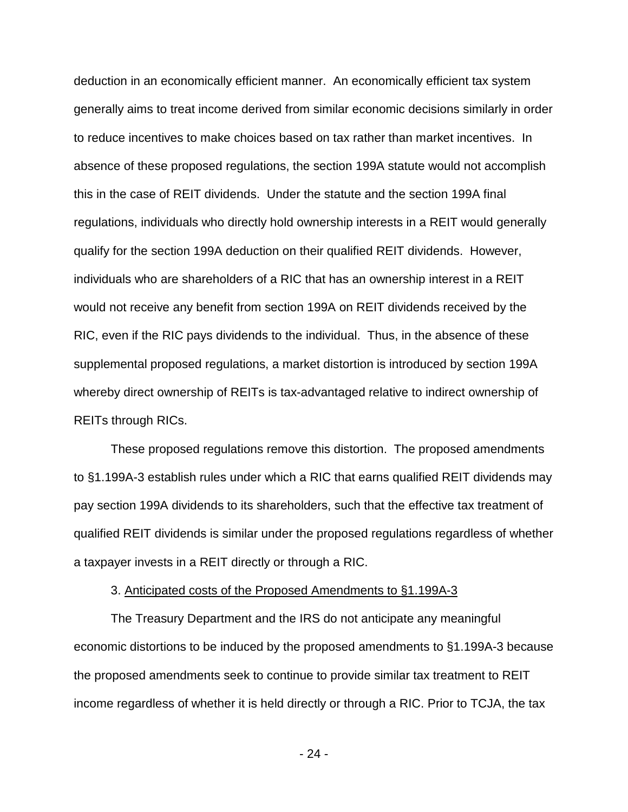deduction in an economically efficient manner. An economically efficient tax system generally aims to treat income derived from similar economic decisions similarly in order to reduce incentives to make choices based on tax rather than market incentives. In absence of these proposed regulations, the section 199A statute would not accomplish this in the case of REIT dividends. Under the statute and the section 199A final regulations, individuals who directly hold ownership interests in a REIT would generally qualify for the section 199A deduction on their qualified REIT dividends. However, individuals who are shareholders of a RIC that has an ownership interest in a REIT would not receive any benefit from section 199A on REIT dividends received by the RIC, even if the RIC pays dividends to the individual. Thus, in the absence of these supplemental proposed regulations, a market distortion is introduced by section 199A whereby direct ownership of REITs is tax-advantaged relative to indirect ownership of REITs through RICs.

These proposed regulations remove this distortion. The proposed amendments to §1.199A-3 establish rules under which a RIC that earns qualified REIT dividends may pay section 199A dividends to its shareholders, such that the effective tax treatment of qualified REIT dividends is similar under the proposed regulations regardless of whether a taxpayer invests in a REIT directly or through a RIC.

#### 3. Anticipated costs of the Proposed Amendments to §1.199A-3

The Treasury Department and the IRS do not anticipate any meaningful economic distortions to be induced by the proposed amendments to §1.199A-3 because the proposed amendments seek to continue to provide similar tax treatment to REIT income regardless of whether it is held directly or through a RIC. Prior to TCJA, the tax

- 24 -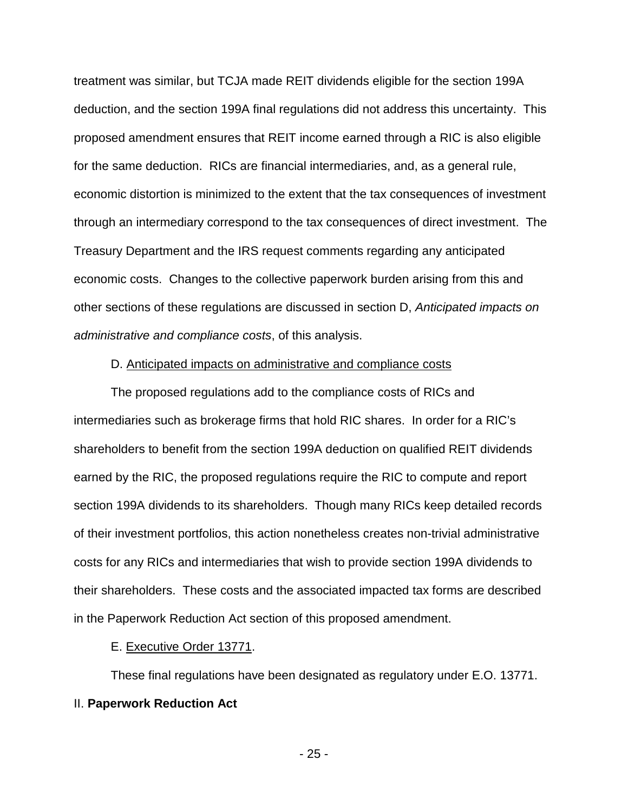treatment was similar, but TCJA made REIT dividends eligible for the section 199A deduction, and the section 199A final regulations did not address this uncertainty. This proposed amendment ensures that REIT income earned through a RIC is also eligible for the same deduction. RICs are financial intermediaries, and, as a general rule, economic distortion is minimized to the extent that the tax consequences of investment through an intermediary correspond to the tax consequences of direct investment. The Treasury Department and the IRS request comments regarding any anticipated economic costs. Changes to the collective paperwork burden arising from this and other sections of these regulations are discussed in section D, *Anticipated impacts on administrative and compliance costs*, of this analysis.

### D. Anticipated impacts on administrative and compliance costs

The proposed regulations add to the compliance costs of RICs and intermediaries such as brokerage firms that hold RIC shares. In order for a RIC's shareholders to benefit from the section 199A deduction on qualified REIT dividends earned by the RIC, the proposed regulations require the RIC to compute and report section 199A dividends to its shareholders. Though many RICs keep detailed records of their investment portfolios, this action nonetheless creates non-trivial administrative costs for any RICs and intermediaries that wish to provide section 199A dividends to their shareholders. These costs and the associated impacted tax forms are described in the Paperwork Reduction Act section of this proposed amendment.

### E. Executive Order 13771.

These final regulations have been designated as regulatory under E.O. 13771. II. **Paperwork Reduction Act**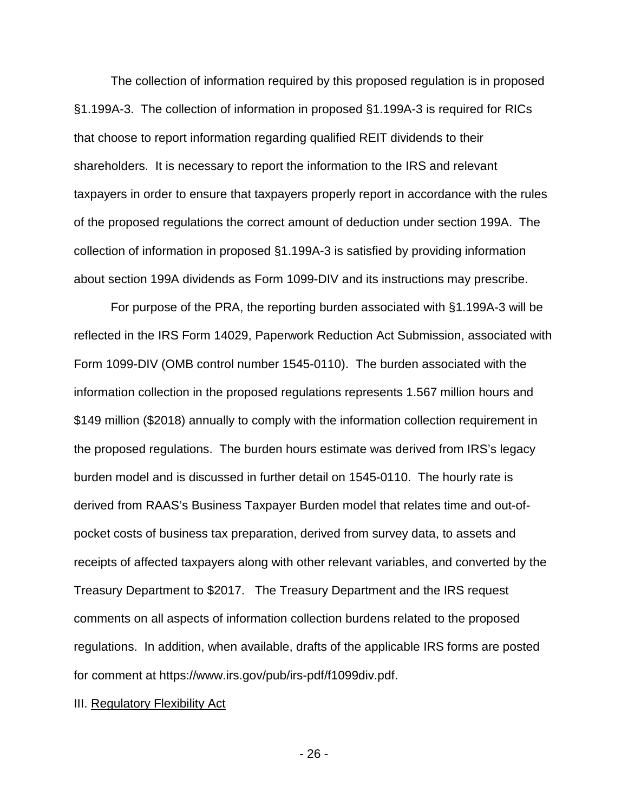The collection of information required by this proposed regulation is in proposed §1.199A-3. The collection of information in proposed §1.199A-3 is required for RICs that choose to report information regarding qualified REIT dividends to their shareholders. It is necessary to report the information to the IRS and relevant taxpayers in order to ensure that taxpayers properly report in accordance with the rules of the proposed regulations the correct amount of deduction under section 199A. The collection of information in proposed §1.199A-3 is satisfied by providing information about section 199A dividends as Form 1099-DIV and its instructions may prescribe.

For purpose of the PRA, the reporting burden associated with §1.199A-3 will be reflected in the IRS Form 14029, Paperwork Reduction Act Submission, associated with Form 1099-DIV (OMB control number 1545-0110). The burden associated with the information collection in the proposed regulations represents 1.567 million hours and \$149 million (\$2018) annually to comply with the information collection requirement in the proposed regulations. The burden hours estimate was derived from IRS's legacy burden model and is discussed in further detail on 1545-0110. The hourly rate is derived from RAAS's Business Taxpayer Burden model that relates time and out-ofpocket costs of business tax preparation, derived from survey data, to assets and receipts of affected taxpayers along with other relevant variables, and converted by the Treasury Department to \$2017. The Treasury Department and the IRS request comments on all aspects of information collection burdens related to the proposed regulations. In addition, when available, drafts of the applicable IRS forms are posted for comment at https://www.irs.gov/pub/irs-pdf/f1099div.pdf.

III. Regulatory Flexibility Act

 $- 26 -$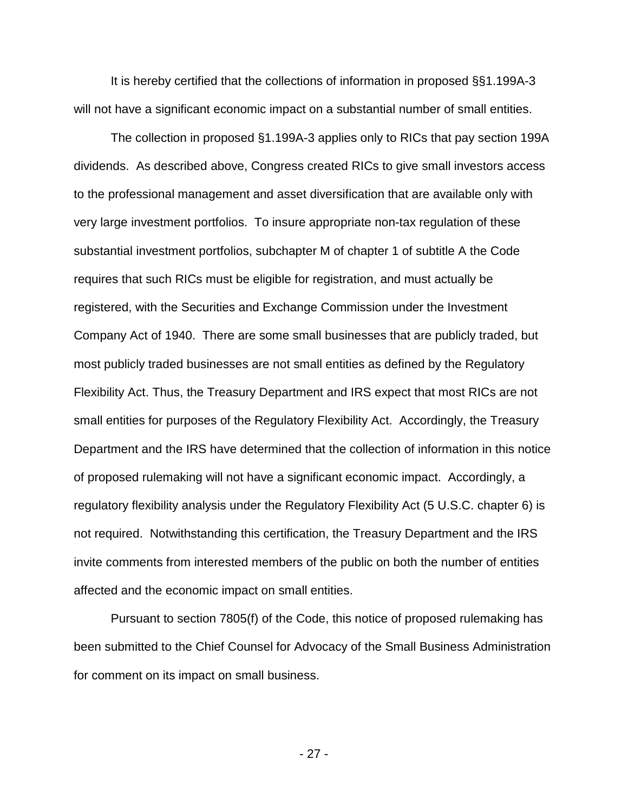It is hereby certified that the collections of information in proposed §§1.199A-3 will not have a significant economic impact on a substantial number of small entities.

The collection in proposed §1.199A-3 applies only to RICs that pay section 199A dividends. As described above, Congress created RICs to give small investors access to the professional management and asset diversification that are available only with very large investment portfolios. To insure appropriate non-tax regulation of these substantial investment portfolios, subchapter M of chapter 1 of subtitle A the Code requires that such RICs must be eligible for registration, and must actually be registered, with the Securities and Exchange Commission under the Investment Company Act of 1940. There are some small businesses that are publicly traded, but most publicly traded businesses are not small entities as defined by the Regulatory Flexibility Act. Thus, the Treasury Department and IRS expect that most RICs are not small entities for purposes of the Regulatory Flexibility Act. Accordingly, the Treasury Department and the IRS have determined that the collection of information in this notice of proposed rulemaking will not have a significant economic impact. Accordingly, a regulatory flexibility analysis under the Regulatory Flexibility Act (5 U.S.C. chapter 6) is not required. Notwithstanding this certification, the Treasury Department and the IRS invite comments from interested members of the public on both the number of entities affected and the economic impact on small entities.

Pursuant to section 7805(f) of the Code, this notice of proposed rulemaking has been submitted to the Chief Counsel for Advocacy of the Small Business Administration for comment on its impact on small business.

- 27 -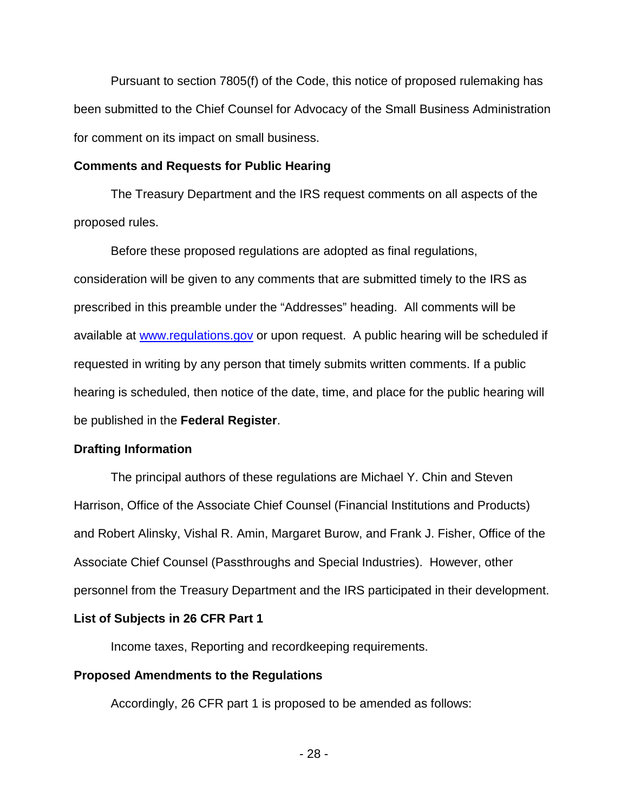Pursuant to section 7805(f) of the Code, this notice of proposed rulemaking has been submitted to the Chief Counsel for Advocacy of the Small Business Administration for comment on its impact on small business.

### **Comments and Requests for Public Hearing**

The Treasury Department and the IRS request comments on all aspects of the proposed rules.

Before these proposed regulations are adopted as final regulations, consideration will be given to any comments that are submitted timely to the IRS as prescribed in this preamble under the "Addresses" heading. All comments will be available at [www.regulations.gov](http://www.regulations.gov/) or upon request. A public hearing will be scheduled if requested in writing by any person that timely submits written comments. If a public hearing is scheduled, then notice of the date, time, and place for the public hearing will be published in the **Federal Register**.

### **Drafting Information**

The principal authors of these regulations are Michael Y. Chin and Steven Harrison, Office of the Associate Chief Counsel (Financial Institutions and Products) and Robert Alinsky, Vishal R. Amin, Margaret Burow, and Frank J. Fisher, Office of the Associate Chief Counsel (Passthroughs and Special Industries). However, other personnel from the Treasury Department and the IRS participated in their development.

### **List of Subjects in 26 CFR Part 1**

Income taxes, Reporting and recordkeeping requirements.

### **Proposed Amendments to the Regulations**

Accordingly, 26 CFR part 1 is proposed to be amended as follows: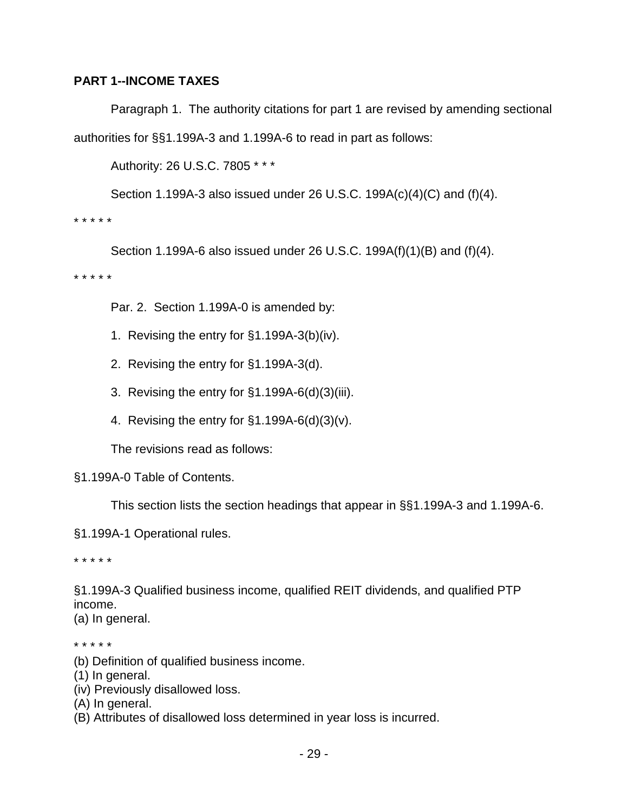# **PART 1--INCOME TAXES**

Paragraph 1. The authority citations for part 1 are revised by amending sectional authorities for §§1.199A-3 and 1.199A-6 to read in part as follows:

Authority: 26 U.S.C. 7805 \* \* \*

Section 1.199A-3 also issued under 26 U.S.C. 199A(c)(4)(C) and (f)(4).

\* \* \* \* \*

Section 1.199A-6 also issued under 26 U.S.C. 199A(f)(1)(B) and (f)(4).

\* \* \* \* \*

Par. 2. Section 1.199A-0 is amended by:

- 1. Revising the entry for §1.199A-3(b)(iv).
- 2. Revising the entry for §1.199A-3(d).
- 3. Revising the entry for §1.199A-6(d)(3)(iii).
- 4. Revising the entry for §1.199A-6(d)(3)(v).

The revisions read as follows:

# §1.199A-0 Table of Contents.

This section lists the section headings that appear in §§1.199A-3 and 1.199A-6.

§1.199A-1 Operational rules.

\* \* \* \* \*

§1.199A-3 Qualified business income, qualified REIT dividends, and qualified PTP income.

(a) In general.

\* \* \* \* \*

- (b) Definition of qualified business income.
- (1) In general.
- (iv) Previously disallowed loss.
- (A) In general.
- (B) Attributes of disallowed loss determined in year loss is incurred.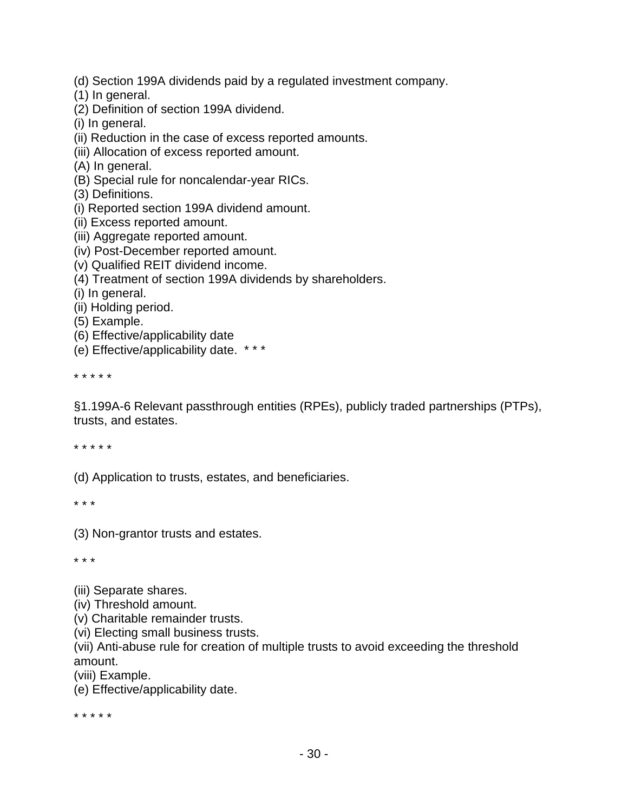- (d) Section 199A dividends paid by a regulated investment company.
- (1) In general.
- (2) Definition of section 199A dividend.
- (i) In general.
- (ii) Reduction in the case of excess reported amounts.
- (iii) Allocation of excess reported amount.
- (A) In general.
- (B) Special rule for noncalendar-year RICs.
- (3) Definitions.
- (i) Reported section 199A dividend amount.
- (ii) Excess reported amount.
- (iii) Aggregate reported amount.
- (iv) Post-December reported amount.
- (v) Qualified REIT dividend income.
- (4) Treatment of section 199A dividends by shareholders.
- (i) In general.
- (ii) Holding period.
- (5) Example.
- (6) Effective/applicability date
- (e) Effective/applicability date. \* \* \*

\* \* \* \* \*

§1.199A-6 Relevant passthrough entities (RPEs), publicly traded partnerships (PTPs), trusts, and estates.

\* \* \* \* \*

(d) Application to trusts, estates, and beneficiaries.

\* \* \*

(3) Non-grantor trusts and estates.

\* \* \*

(iii) Separate shares.

- (iv) Threshold amount.
- (v) Charitable remainder trusts.
- (vi) Electing small business trusts.

(vii) Anti-abuse rule for creation of multiple trusts to avoid exceeding the threshold amount.

(viii) Example.

(e) Effective/applicability date.

\* \* \* \* \*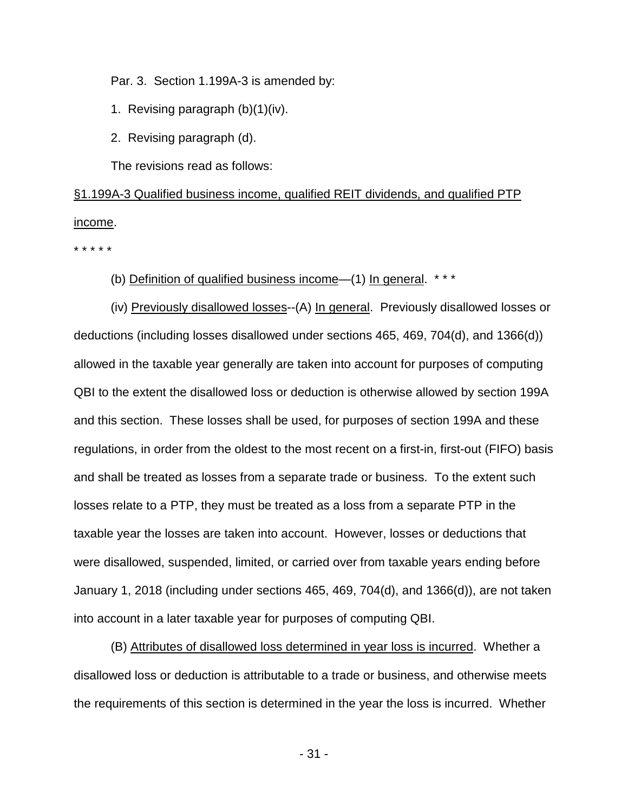Par. 3. Section 1.199A-3 is amended by:

- 1. Revising paragraph (b)(1)(iv).
- 2. Revising paragraph (d).

The revisions read as follows:

§1.199A-3 Qualified business income, qualified REIT dividends, and qualified PTP income.

\* \* \* \* \*

(b) Definition of qualified business income—(1) In general. \* \* \*

(iv) Previously disallowed losses--(A) In general. Previously disallowed losses or deductions (including losses disallowed under sections 465, 469, 704(d), and 1366(d)) allowed in the taxable year generally are taken into account for purposes of computing QBI to the extent the disallowed loss or deduction is otherwise allowed by section 199A and this section. These losses shall be used, for purposes of section 199A and these regulations, in order from the oldest to the most recent on a first-in, first-out (FIFO) basis and shall be treated as losses from a separate trade or business. To the extent such losses relate to a PTP, they must be treated as a loss from a separate PTP in the taxable year the losses are taken into account. However, losses or deductions that were disallowed, suspended, limited, or carried over from taxable years ending before January 1, 2018 (including under sections 465, 469, 704(d), and 1366(d)), are not taken into account in a later taxable year for purposes of computing QBI.

(B) Attributes of disallowed loss determined in year loss is incurred. Whether a disallowed loss or deduction is attributable to a trade or business, and otherwise meets the requirements of this section is determined in the year the loss is incurred. Whether

 $- 31 -$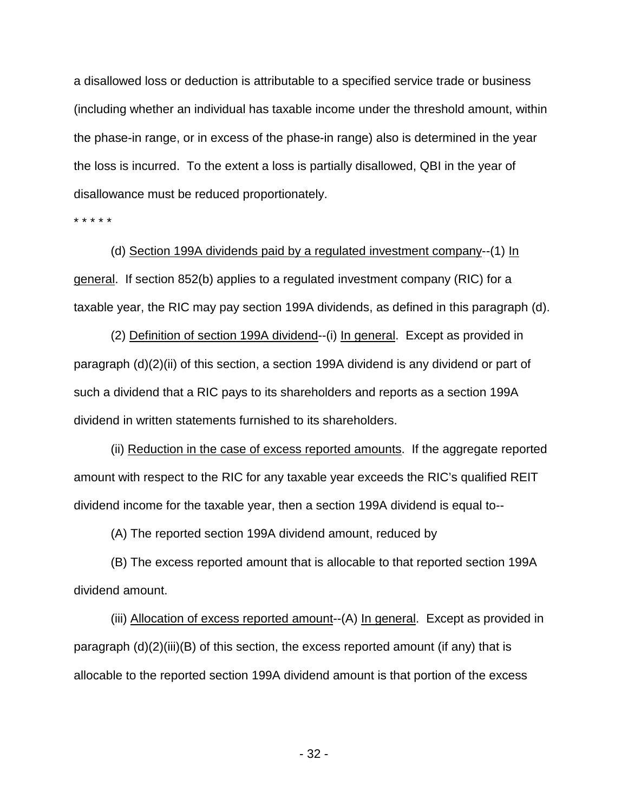a disallowed loss or deduction is attributable to a specified service trade or business (including whether an individual has taxable income under the threshold amount, within the phase-in range, or in excess of the phase-in range) also is determined in the year the loss is incurred. To the extent a loss is partially disallowed, QBI in the year of disallowance must be reduced proportionately.

\* \* \* \* \*

(d) Section 199A dividends paid by a regulated investment company--(1) In general. If section 852(b) applies to a regulated investment company (RIC) for a taxable year, the RIC may pay section 199A dividends, as defined in this paragraph (d).

(2) Definition of section 199A dividend--(i) In general. Except as provided in paragraph (d)(2)(ii) of this section, a section 199A dividend is any dividend or part of such a dividend that a RIC pays to its shareholders and reports as a section 199A dividend in written statements furnished to its shareholders.

(ii) Reduction in the case of excess reported amounts. If the aggregate reported amount with respect to the RIC for any taxable year exceeds the RIC's qualified REIT dividend income for the taxable year, then a section 199A dividend is equal to--

(A) The reported section 199A dividend amount, reduced by

(B) The excess reported amount that is allocable to that reported section 199A dividend amount.

(iii) Allocation of excess reported amount--(A) In general. Except as provided in paragraph (d)(2)(iii)(B) of this section, the excess reported amount (if any) that is allocable to the reported section 199A dividend amount is that portion of the excess

- 32 -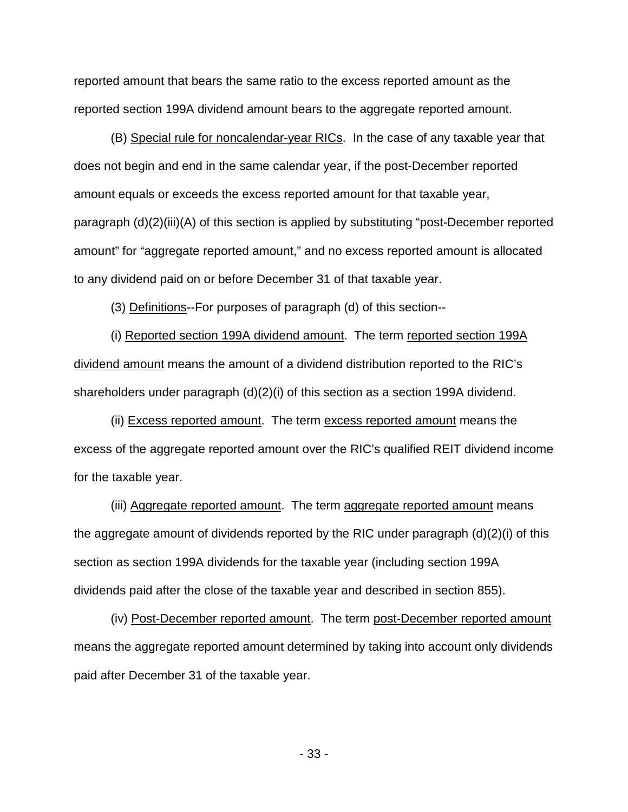reported amount that bears the same ratio to the excess reported amount as the reported section 199A dividend amount bears to the aggregate reported amount.

(B) Special rule for noncalendar-year RICs. In the case of any taxable year that does not begin and end in the same calendar year, if the post-December reported amount equals or exceeds the excess reported amount for that taxable year, paragraph (d)(2)(iii)(A) of this section is applied by substituting "post-December reported amount" for "aggregate reported amount," and no excess reported amount is allocated to any dividend paid on or before December 31 of that taxable year.

(3) Definitions--For purposes of paragraph (d) of this section--

(i) Reported section 199A dividend amount. The term reported section 199A dividend amount means the amount of a dividend distribution reported to the RIC's shareholders under paragraph (d)(2)(i) of this section as a section 199A dividend.

(ii) Excess reported amount. The term excess reported amount means the excess of the aggregate reported amount over the RIC's qualified REIT dividend income for the taxable year.

(iii) Aggregate reported amount. The term aggregate reported amount means the aggregate amount of dividends reported by the RIC under paragraph (d)(2)(i) of this section as section 199A dividends for the taxable year (including section 199A dividends paid after the close of the taxable year and described in section 855).

(iv) Post-December reported amount. The term post-December reported amount means the aggregate reported amount determined by taking into account only dividends paid after December 31 of the taxable year.

 $- 33 -$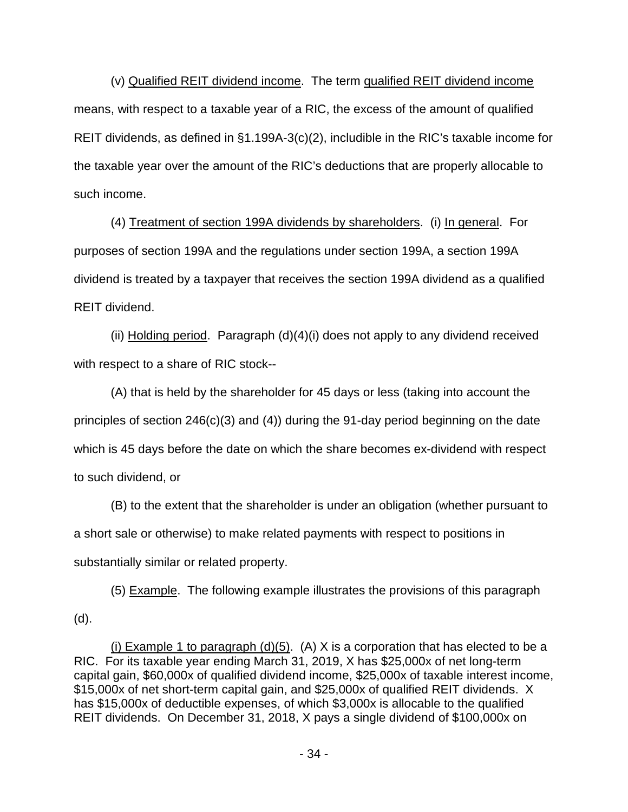(v) Qualified REIT dividend income. The term qualified REIT dividend income means, with respect to a taxable year of a RIC, the excess of the amount of qualified REIT dividends, as defined in §1.199A-3(c)(2), includible in the RIC's taxable income for the taxable year over the amount of the RIC's deductions that are properly allocable to such income.

(4) Treatment of section 199A dividends by shareholders. (i) In general. For purposes of section 199A and the regulations under section 199A, a section 199A dividend is treated by a taxpayer that receives the section 199A dividend as a qualified REIT dividend.

(ii) Holding period. Paragraph (d)(4)(i) does not apply to any dividend received with respect to a share of RIC stock--

(A) that is held by the shareholder for 45 days or less (taking into account the principles of section 246(c)(3) and (4)) during the 91-day period beginning on the date which is 45 days before the date on which the share becomes ex-dividend with respect to such dividend, or

(B) to the extent that the shareholder is under an obligation (whether pursuant to a short sale or otherwise) to make related payments with respect to positions in substantially similar or related property.

(5) Example. The following example illustrates the provisions of this paragraph (d).

(i) Example 1 to paragraph  $(d)(5)$ . (A) X is a corporation that has elected to be a RIC. For its taxable year ending March 31, 2019, X has \$25,000x of net long-term capital gain, \$60,000x of qualified dividend income, \$25,000x of taxable interest income, \$15,000x of net short-term capital gain, and \$25,000x of qualified REIT dividends. X has \$15,000x of deductible expenses, of which \$3,000x is allocable to the qualified REIT dividends. On December 31, 2018, X pays a single dividend of \$100,000x on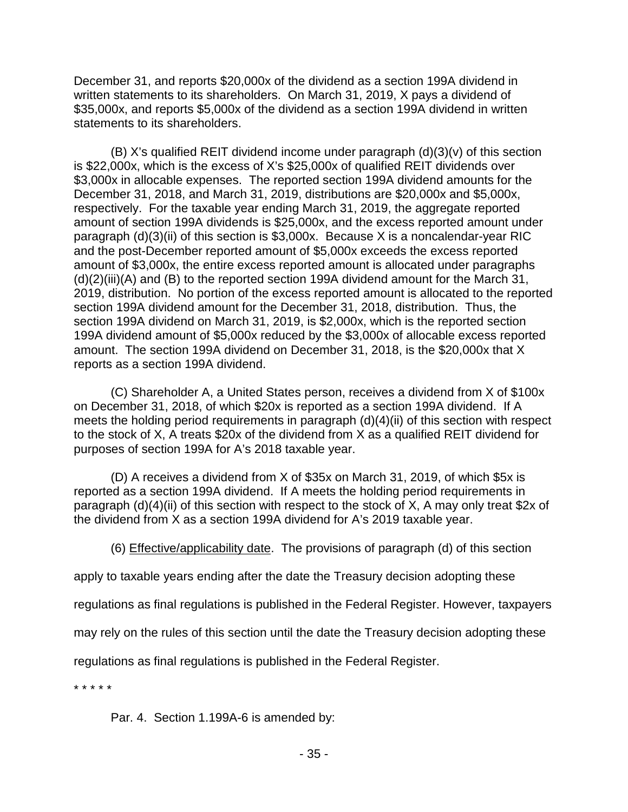December 31, and reports \$20,000x of the dividend as a section 199A dividend in written statements to its shareholders. On March 31, 2019, X pays a dividend of \$35,000x, and reports \$5,000x of the dividend as a section 199A dividend in written statements to its shareholders.

(B) X's qualified REIT dividend income under paragraph (d)(3)(v) of this section is \$22,000x, which is the excess of X's \$25,000x of qualified REIT dividends over \$3,000x in allocable expenses. The reported section 199A dividend amounts for the December 31, 2018, and March 31, 2019, distributions are \$20,000x and \$5,000x, respectively. For the taxable year ending March 31, 2019, the aggregate reported amount of section 199A dividends is \$25,000x, and the excess reported amount under paragraph (d)(3)(ii) of this section is \$3,000x. Because X is a noncalendar-year RIC and the post-December reported amount of \$5,000x exceeds the excess reported amount of \$3,000x, the entire excess reported amount is allocated under paragraphs (d)(2)(iii)(A) and (B) to the reported section 199A dividend amount for the March 31, 2019, distribution. No portion of the excess reported amount is allocated to the reported section 199A dividend amount for the December 31, 2018, distribution. Thus, the section 199A dividend on March 31, 2019, is \$2,000x, which is the reported section 199A dividend amount of \$5,000x reduced by the \$3,000x of allocable excess reported amount. The section 199A dividend on December 31, 2018, is the \$20,000x that X reports as a section 199A dividend.

(C) Shareholder A, a United States person, receives a dividend from X of \$100x on December 31, 2018, of which \$20x is reported as a section 199A dividend. If A meets the holding period requirements in paragraph (d)(4)(ii) of this section with respect to the stock of X, A treats \$20x of the dividend from X as a qualified REIT dividend for purposes of section 199A for A's 2018 taxable year.

(D) A receives a dividend from X of \$35x on March 31, 2019, of which \$5x is reported as a section 199A dividend. If A meets the holding period requirements in paragraph (d)(4)(ii) of this section with respect to the stock of X, A may only treat \$2x of the dividend from X as a section 199A dividend for A's 2019 taxable year.

(6) Effective/applicability date. The provisions of paragraph (d) of this section

apply to taxable years ending after the date the Treasury decision adopting these

regulations as final regulations is published in the Federal Register. However, taxpayers

may rely on the rules of this section until the date the Treasury decision adopting these

regulations as final regulations is published in the Federal Register.

\* \* \* \* \*

Par. 4. Section 1.199A-6 is amended by: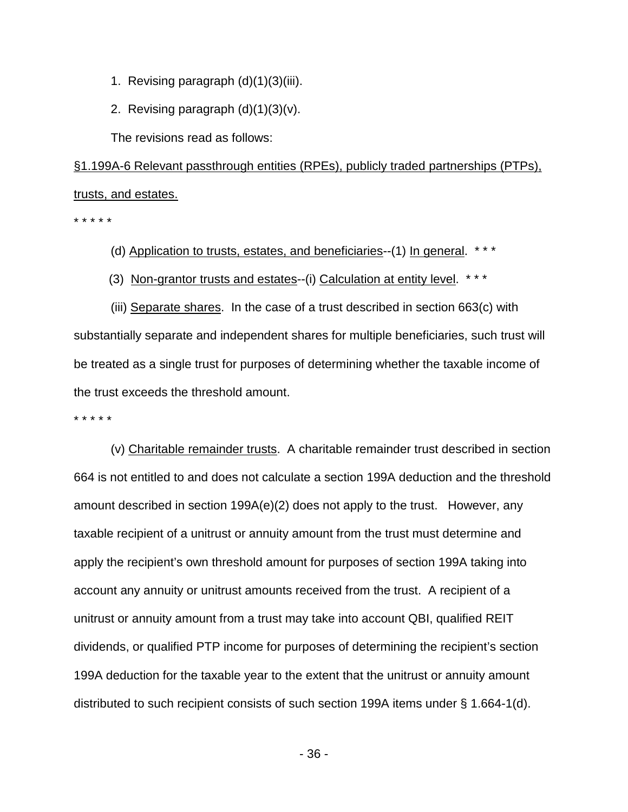- 1. Revising paragraph (d)(1)(3)(iii).
- 2. Revising paragraph  $(d)(1)(3)(v)$ .

The revisions read as follows:

§1.199A-6 Relevant passthrough entities (RPEs), publicly traded partnerships (PTPs), trusts, and estates.

\* \* \* \* \*

(d) Application to trusts, estates, and beneficiaries--(1) In general. \*\*\*

(3) Non-grantor trusts and estates--(i) Calculation at entity level. \* \* \*

(iii) Separate shares. In the case of a trust described in section 663(c) with substantially separate and independent shares for multiple beneficiaries, such trust will be treated as a single trust for purposes of determining whether the taxable income of the trust exceeds the threshold amount.

\* \* \* \* \*

(v) Charitable remainder trusts. A charitable remainder trust described in section 664 is not entitled to and does not calculate a section 199A deduction and the threshold amount described in section 199A(e)(2) does not apply to the trust. However, any taxable recipient of a unitrust or annuity amount from the trust must determine and apply the recipient's own threshold amount for purposes of section 199A taking into account any annuity or unitrust amounts received from the trust. A recipient of a unitrust or annuity amount from a trust may take into account QBI, qualified REIT dividends, or qualified PTP income for purposes of determining the recipient's section 199A deduction for the taxable year to the extent that the unitrust or annuity amount distributed to such recipient consists of such section 199A items under § 1.664-1(d).

 $-36$  -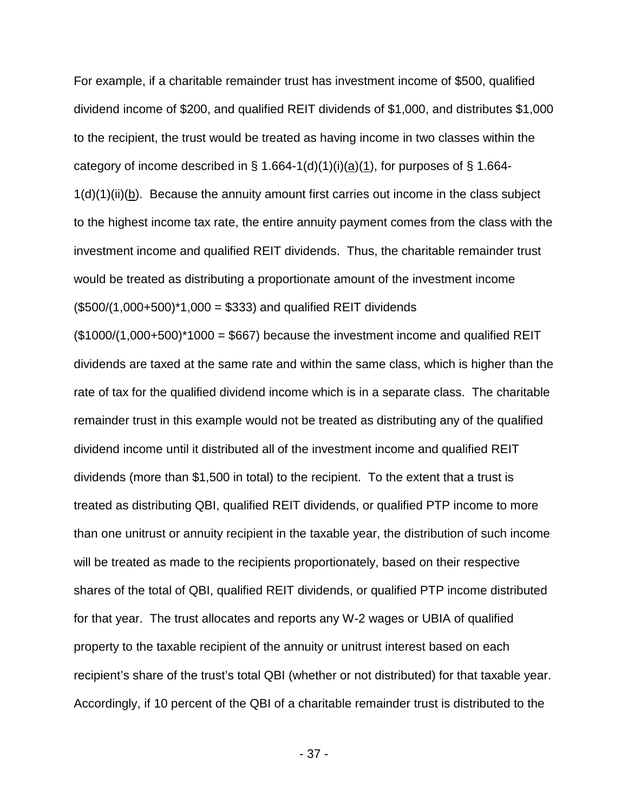For example, if a charitable remainder trust has investment income of \$500, qualified dividend income of \$200, and qualified REIT dividends of \$1,000, and distributes \$1,000 to the recipient, the trust would be treated as having income in two classes within the category of income described in § 1.664-1(d)(1)(i)(a)(1), for purposes of § 1.664-1(d)(1)(ii)(b). Because the annuity amount first carries out income in the class subject to the highest income tax rate, the entire annuity payment comes from the class with the investment income and qualified REIT dividends. Thus, the charitable remainder trust would be treated as distributing a proportionate amount of the investment income  $($500/(1,000+500)*1,000 = $333)$  and qualified REIT dividends

 $($1000/(1,000+500)*1000 = $667)$  because the investment income and qualified REIT dividends are taxed at the same rate and within the same class, which is higher than the rate of tax for the qualified dividend income which is in a separate class. The charitable remainder trust in this example would not be treated as distributing any of the qualified dividend income until it distributed all of the investment income and qualified REIT dividends (more than \$1,500 in total) to the recipient. To the extent that a trust is treated as distributing QBI, qualified REIT dividends, or qualified PTP income to more than one unitrust or annuity recipient in the taxable year, the distribution of such income will be treated as made to the recipients proportionately, based on their respective shares of the total of QBI, qualified REIT dividends, or qualified PTP income distributed for that year. The trust allocates and reports any W-2 wages or UBIA of qualified property to the taxable recipient of the annuity or unitrust interest based on each recipient's share of the trust's total QBI (whether or not distributed) for that taxable year. Accordingly, if 10 percent of the QBI of a charitable remainder trust is distributed to the

- 37 -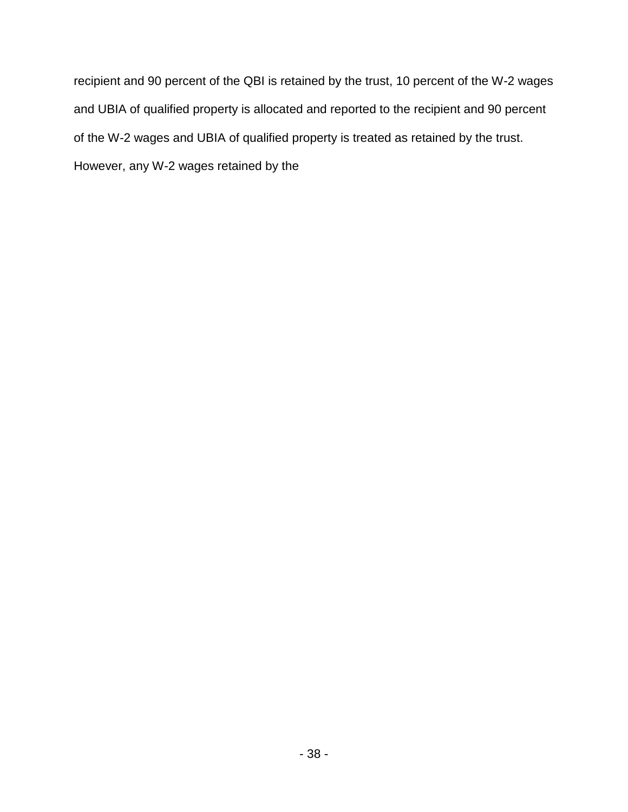recipient and 90 percent of the QBI is retained by the trust, 10 percent of the W-2 wages and UBIA of qualified property is allocated and reported to the recipient and 90 percent of the W-2 wages and UBIA of qualified property is treated as retained by the trust. However, any W-2 wages retained by the